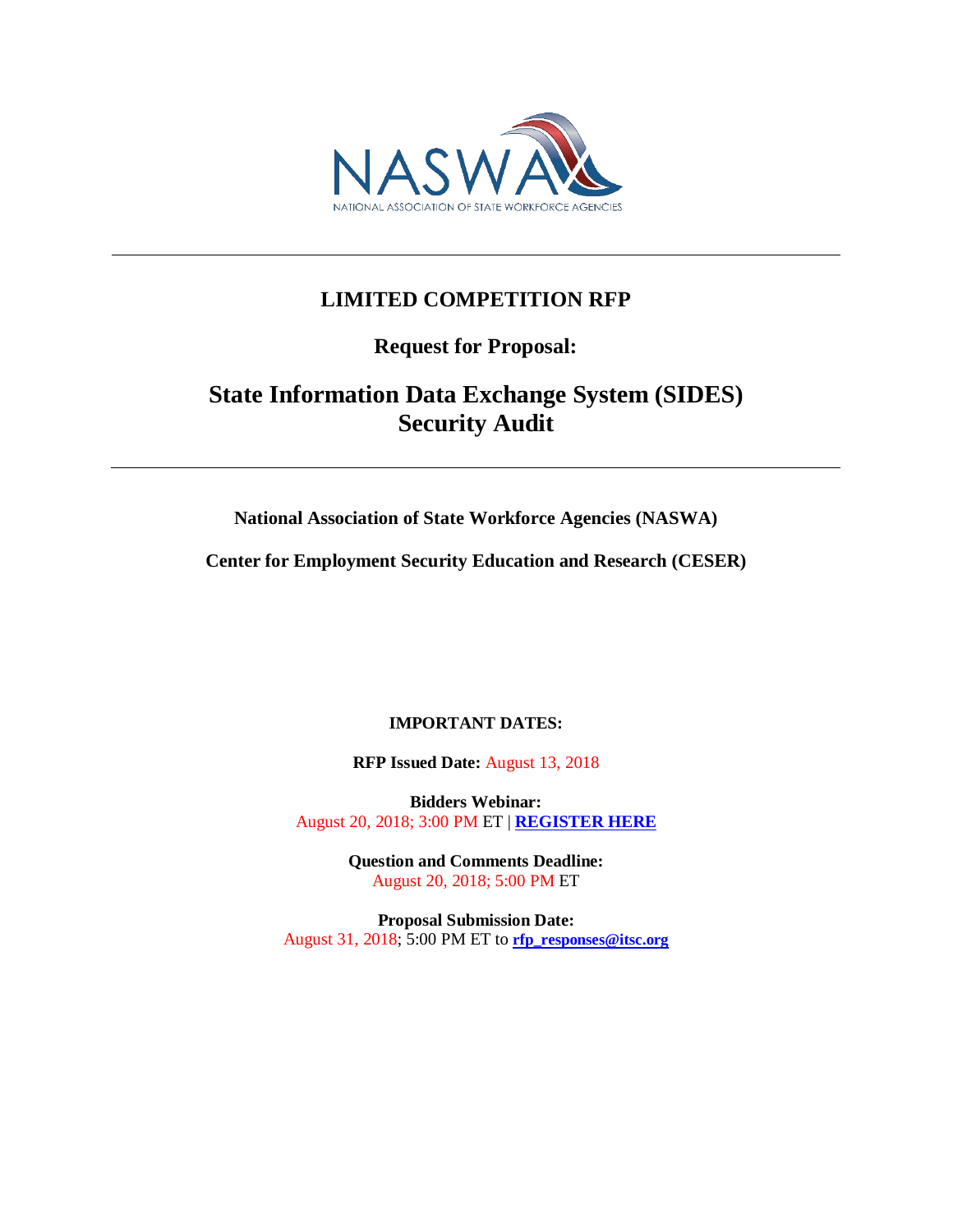

## **LIMITED COMPETITION RFP**

**Request for Proposal:**

# **State Information Data Exchange System (SIDES) Security Audit**

**National Association of State Workforce Agencies (NASWA)**

**Center for Employment Security Education and Research (CESER)**

### **IMPORTANT DATES:**

**RFP Issued Date:** August 13, 2018

**Bidders Webinar:** August 20, 2018; 3:00 PM ET | **[REGISTER HERE](https://naswa.zoom.us/meeting/register/3ea06316fce6e921dc2040ba88984b7b)**

> **Question and Comments Deadline:** August 20, 2018; 5:00 PM ET

**Proposal Submission Date:** August 31, 2018; 5:00 PM ET to **[rfp\\_responses@itsc.org](mailto:rfp_responses@itsc.org)**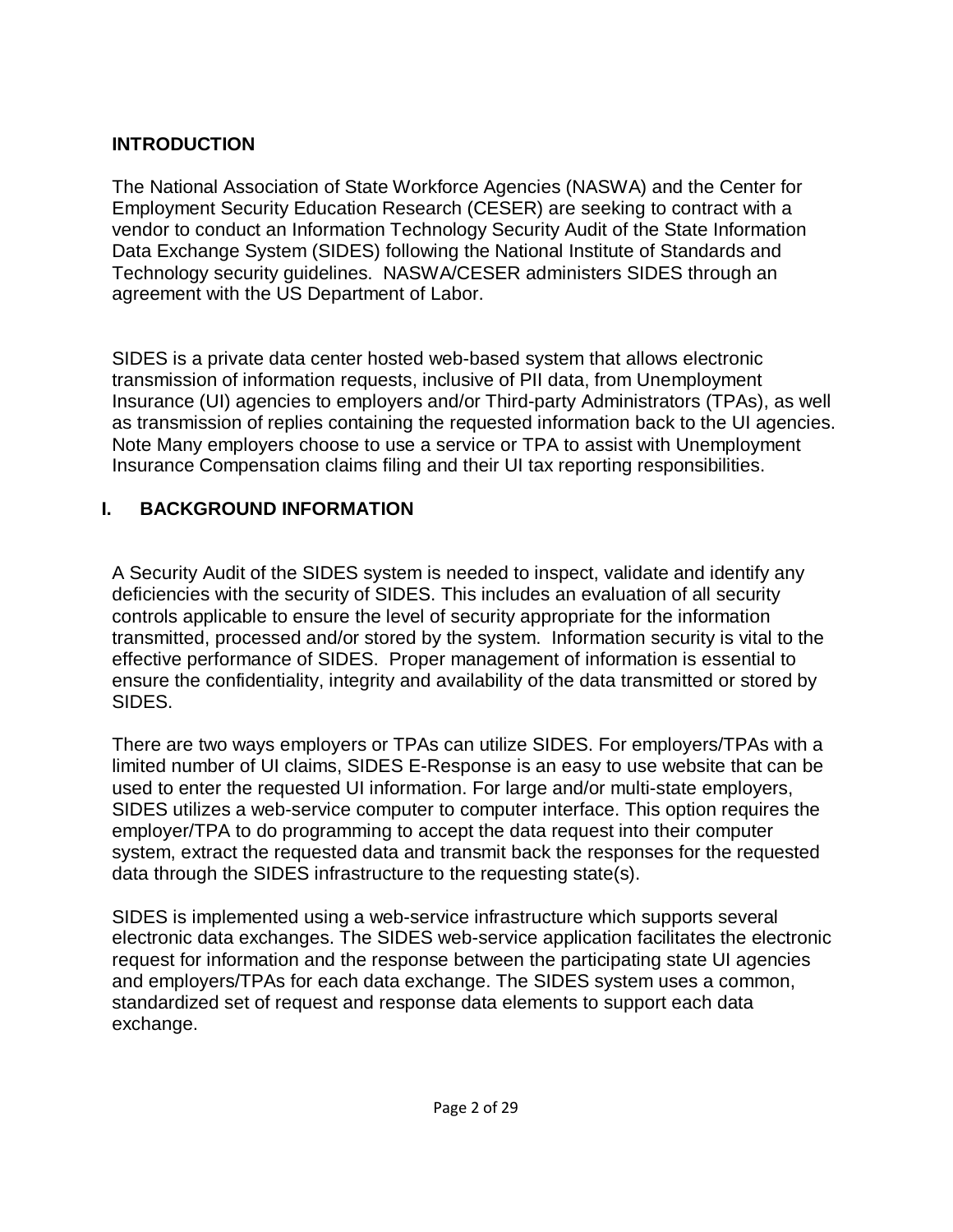## **INTRODUCTION**

The National Association of State Workforce Agencies (NASWA) and the Center for Employment Security Education Research (CESER) are seeking to contract with a vendor to conduct an Information Technology Security Audit of the State Information Data Exchange System (SIDES) following the National Institute of Standards and Technology security guidelines. NASWA/CESER administers SIDES through an agreement with the US Department of Labor.

SIDES is a private data center hosted web-based system that allows electronic transmission of information requests, inclusive of PII data, from Unemployment Insurance (UI) agencies to employers and/or Third-party Administrators (TPAs), as well as transmission of replies containing the requested information back to the UI agencies. Note Many employers choose to use a service or TPA to assist with Unemployment Insurance Compensation claims filing and their UI tax reporting responsibilities.

# **I. BACKGROUND INFORMATION**

A Security Audit of the SIDES system is needed to inspect, validate and identify any deficiencies with the security of SIDES. This includes an evaluation of all security controls applicable to ensure the level of security appropriate for the information transmitted, processed and/or stored by the system. Information security is vital to the effective performance of SIDES. Proper management of information is essential to ensure the confidentiality, integrity and availability of the data transmitted or stored by SIDES.

There are two ways employers or TPAs can utilize SIDES. For employers/TPAs with a limited number of UI claims, SIDES E-Response is an easy to use website that can be used to enter the requested UI information. For large and/or multi-state employers, SIDES utilizes a web-service computer to computer interface. This option requires the employer/TPA to do programming to accept the data request into their computer system, extract the requested data and transmit back the responses for the requested data through the SIDES infrastructure to the requesting state(s).

SIDES is implemented using a web-service infrastructure which supports several electronic data exchanges. The SIDES web-service application facilitates the electronic request for information and the response between the participating state UI agencies and employers/TPAs for each data exchange. The SIDES system uses a common, standardized set of request and response data elements to support each data exchange.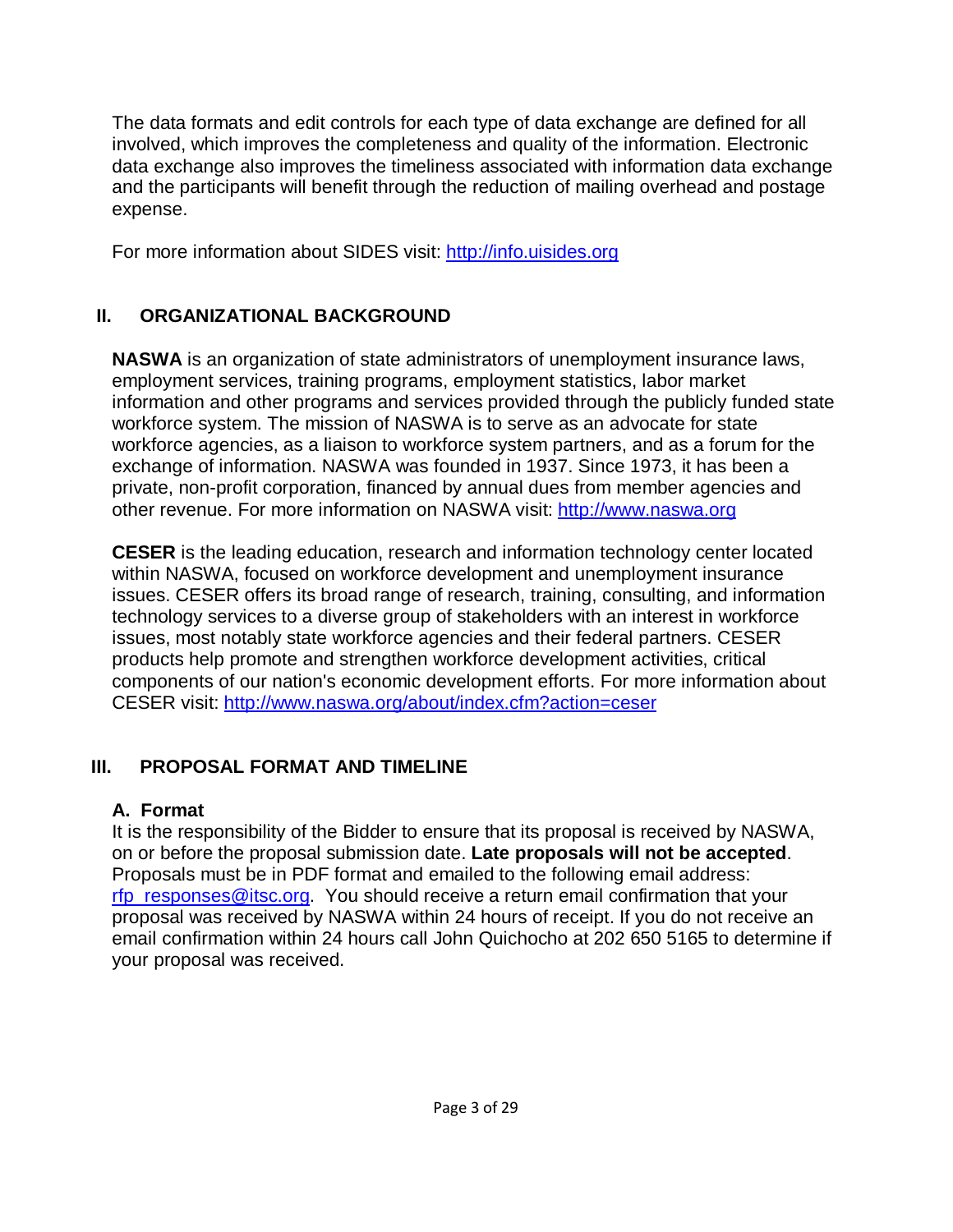The data formats and edit controls for each type of data exchange are defined for all involved, which improves the completeness and quality of the information. Electronic data exchange also improves the timeliness associated with information data exchange and the participants will benefit through the reduction of mailing overhead and postage expense.

For more information about SIDES visit: [http://info.uisides.org](http://info.uisides.org/)

# **II. ORGANIZATIONAL BACKGROUND**

**NASWA** is an organization of state administrators of unemployment insurance laws, employment services, training programs, employment statistics, labor market information and other programs and services provided through the publicly funded state workforce system. The mission of NASWA is to serve as an advocate for state workforce agencies, as a liaison to workforce system partners, and as a forum for the exchange of information. NASWA was founded in 1937. Since 1973, it has been a private, non-profit corporation, financed by annual dues from member agencies and other revenue. For more information on NASWA visit: [http://www.naswa.org](http://www.naswa.org/)

**CESER** is the leading education, research and information technology center located within NASWA, focused on workforce development and unemployment insurance issues. CESER offers its broad range of research, training, consulting, and information technology services to a diverse group of stakeholders with an interest in workforce issues, most notably state workforce agencies and their federal partners. CESER products help promote and strengthen workforce development activities, critical components of our nation's economic development efforts. For more information about CESER visit: <http://www.naswa.org/about/index.cfm?action=ceser>

# **III. PROPOSAL FORMAT AND TIMELINE**

# **A. Format**

It is the responsibility of the Bidder to ensure that its proposal is received by NASWA, on or before the proposal submission date. **Late proposals will not be accepted**. Proposals must be in PDF format and emailed to the following email address: [rfp\\_responses@itsc.org.](mailto:rfp_responses@itsc.org) You should receive a return email confirmation that your proposal was received by NASWA within 24 hours of receipt. If you do not receive an email confirmation within 24 hours call John Quichocho at 202 650 5165 to determine if your proposal was received.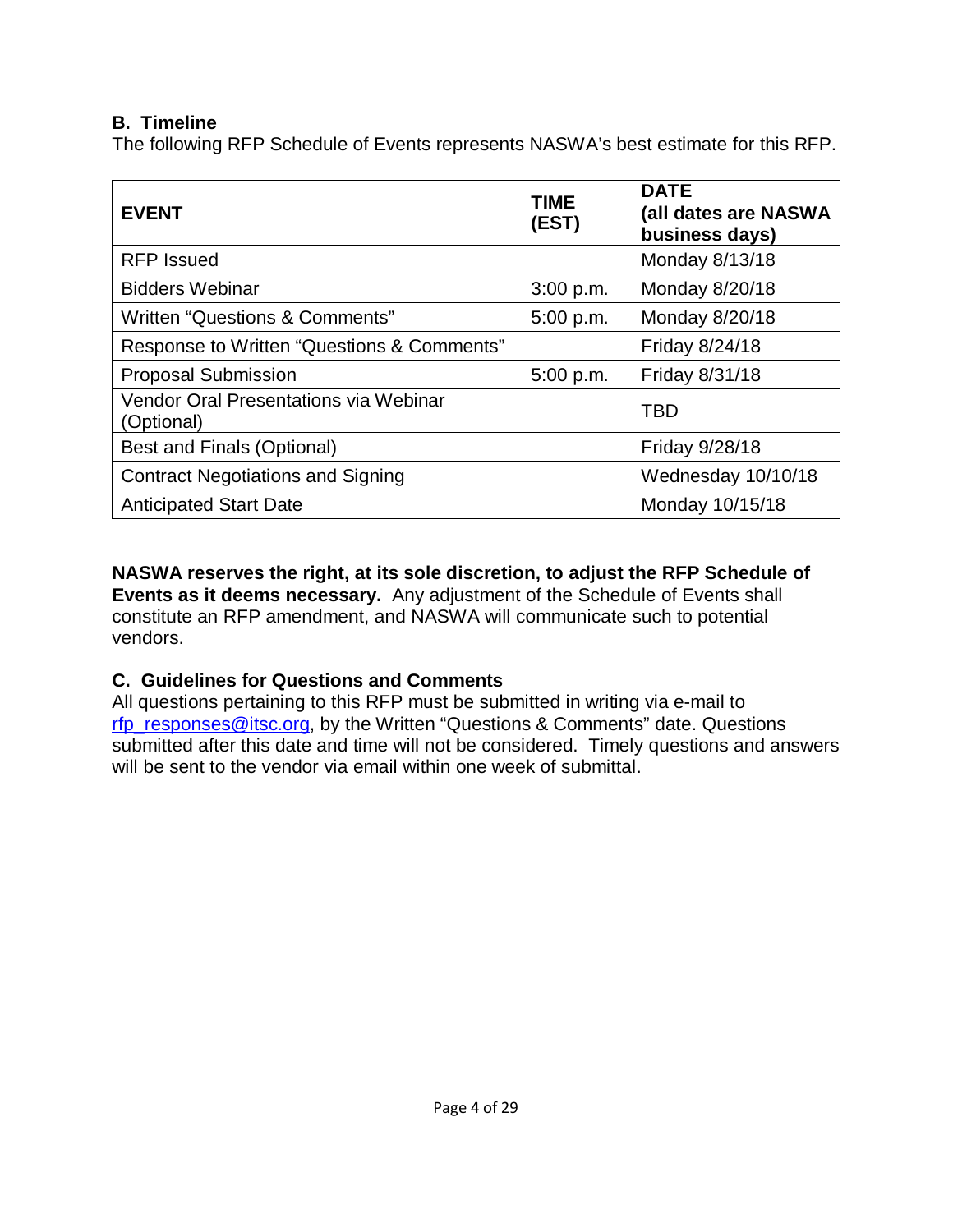## **B. Timeline**

The following RFP Schedule of Events represents NASWA's best estimate for this RFP.

| <b>EVENT</b>                                        | <b>TIME</b><br>(EST) | <b>DATE</b><br>(all dates are NASWA<br>business days) |
|-----------------------------------------------------|----------------------|-------------------------------------------------------|
| <b>RFP</b> Issued                                   |                      | Monday 8/13/18                                        |
| <b>Bidders Webinar</b>                              | 3:00 p.m.            | Monday 8/20/18                                        |
| Written "Questions & Comments"                      | 5:00 p.m.            | Monday 8/20/18                                        |
| Response to Written "Questions & Comments"          |                      | Friday 8/24/18                                        |
| <b>Proposal Submission</b>                          | 5:00 p.m.            | Friday 8/31/18                                        |
| Vendor Oral Presentations via Webinar<br>(Optional) |                      | <b>TBD</b>                                            |
| <b>Best and Finals (Optional)</b>                   |                      | Friday 9/28/18                                        |
| <b>Contract Negotiations and Signing</b>            |                      | Wednesday 10/10/18                                    |
| <b>Anticipated Start Date</b>                       |                      | Monday 10/15/18                                       |

**NASWA reserves the right, at its sole discretion, to adjust the RFP Schedule of Events as it deems necessary.** Any adjustment of the Schedule of Events shall constitute an RFP amendment, and NASWA will communicate such to potential vendors.

## **C. Guidelines for Questions and Comments**

All questions pertaining to this RFP must be submitted in writing via e-mail to [rfp\\_responses@itsc.org,](mailto:rfp_responses@itsc.org?subject=MRM%20Consortium%20Question%20RFP%20Number:%20%201401-676) by the Written "Questions & Comments" date. Questions submitted after this date and time will not be considered. Timely questions and answers will be sent to the vendor via email within one week of submittal.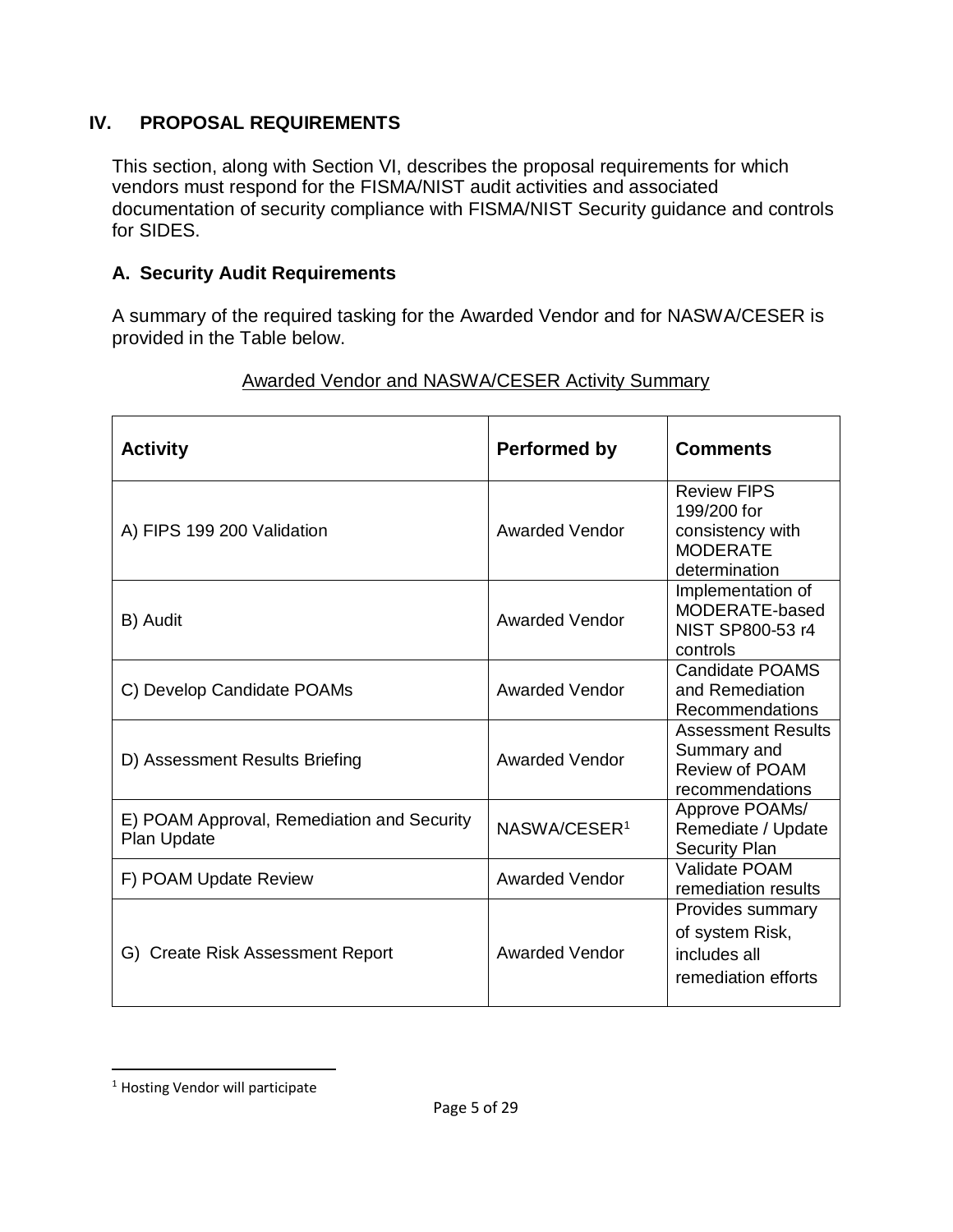## **IV. PROPOSAL REQUIREMENTS**

This section, along with Section VI, describes the proposal requirements for which vendors must respond for the FISMA/NIST audit activities and associated documentation of security compliance with FISMA/NIST Security guidance and controls for SIDES.

## **A. Security Audit Requirements**

A summary of the required tasking for the Awarded Vendor and for NASWA/CESER is provided in the Table below.

| <b>Activity</b>                                           | <b>Performed by</b>      | <b>Comments</b>                                                                           |
|-----------------------------------------------------------|--------------------------|-------------------------------------------------------------------------------------------|
| A) FIPS 199 200 Validation                                | <b>Awarded Vendor</b>    | <b>Review FIPS</b><br>199/200 for<br>consistency with<br><b>MODERATE</b><br>determination |
| B) Audit                                                  | <b>Awarded Vendor</b>    | Implementation of<br>MODERATE-based<br>NIST SP800-53 r4<br>controls                       |
| C) Develop Candidate POAMs                                | <b>Awarded Vendor</b>    | <b>Candidate POAMS</b><br>and Remediation<br>Recommendations                              |
| D) Assessment Results Briefing                            | <b>Awarded Vendor</b>    | <b>Assessment Results</b><br>Summary and<br>Review of POAM<br>recommendations             |
| E) POAM Approval, Remediation and Security<br>Plan Update | NASWA/CESER <sup>1</sup> | Approve POAMs/<br>Remediate / Update<br><b>Security Plan</b>                              |
| F) POAM Update Review                                     | <b>Awarded Vendor</b>    | Validate POAM<br>remediation results                                                      |
| G) Create Risk Assessment Report                          | <b>Awarded Vendor</b>    | Provides summary<br>of system Risk,<br>includes all<br>remediation efforts                |

## Awarded Vendor and NASWA/CESER Activity Summary

<span id="page-4-0"></span> <sup>1</sup> Hosting Vendor will participate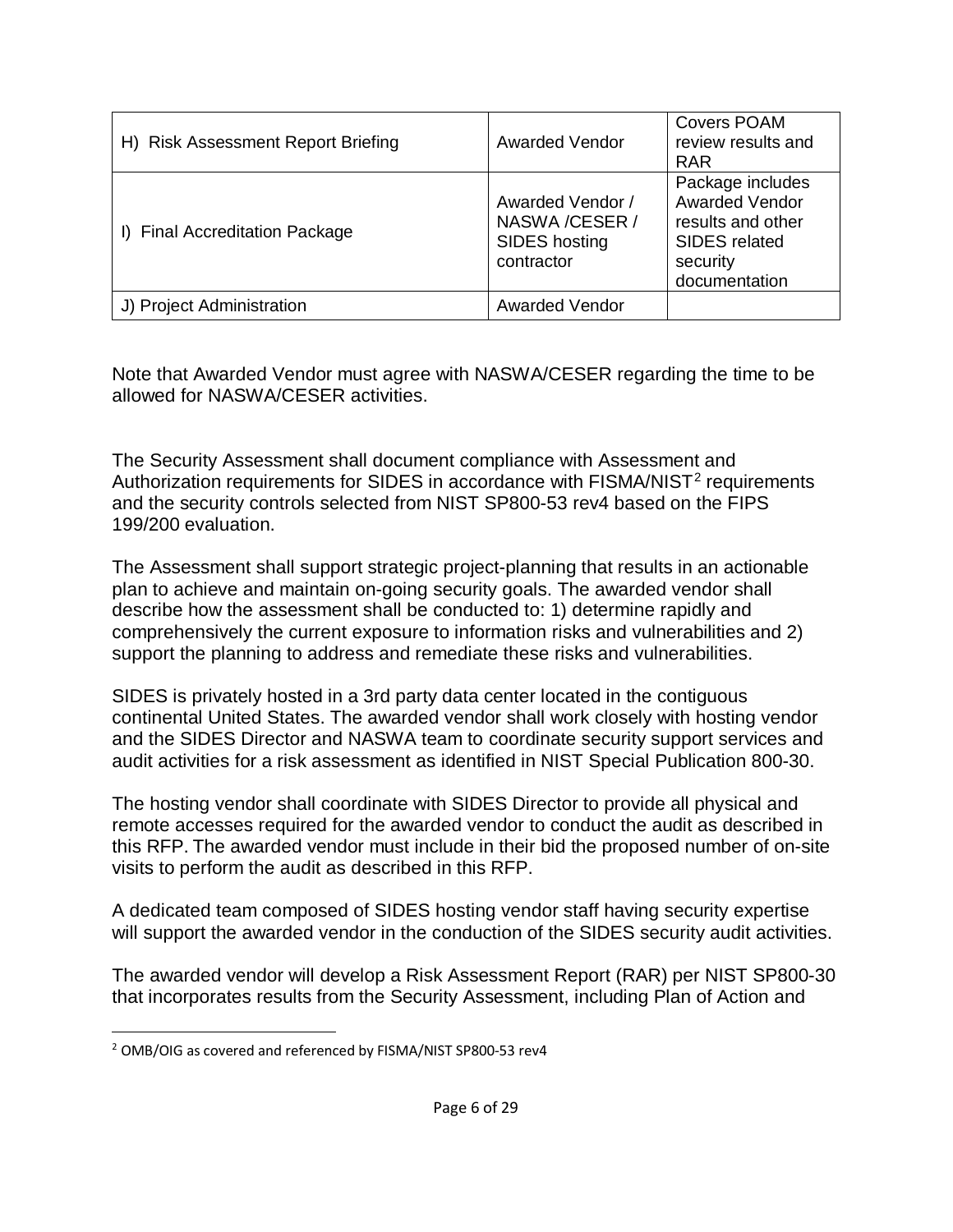| H) Risk Assessment Report Briefing | <b>Awarded Vendor</b>                                              | <b>Covers POAM</b><br>review results and<br><b>RAR</b>                                                              |
|------------------------------------|--------------------------------------------------------------------|---------------------------------------------------------------------------------------------------------------------|
| I) Final Accreditation Package     | Awarded Vendor /<br>NASWA / CESER /<br>SIDES hosting<br>contractor | Package includes<br><b>Awarded Vendor</b><br>results and other<br><b>SIDES</b> related<br>security<br>documentation |
| J) Project Administration          | <b>Awarded Vendor</b>                                              |                                                                                                                     |

Note that Awarded Vendor must agree with NASWA/CESER regarding the time to be allowed for NASWA/CESER activities.

The Security Assessment shall document compliance with Assessment and Authorization requirements for SIDES in accordance with FISMA/NIST<sup>[2](#page-5-0)</sup> requirements and the security controls selected from NIST SP800-53 rev4 based on the FIPS 199/200 evaluation.

The Assessment shall support strategic project-planning that results in an actionable plan to achieve and maintain on-going security goals. The awarded vendor shall describe how the assessment shall be conducted to: 1) determine rapidly and comprehensively the current exposure to information risks and vulnerabilities and 2) support the planning to address and remediate these risks and vulnerabilities.

SIDES is privately hosted in a 3rd party data center located in the contiguous continental United States. The awarded vendor shall work closely with hosting vendor and the SIDES Director and NASWA team to coordinate security support services and audit activities for a risk assessment as identified in NIST Special Publication 800-30.

The hosting vendor shall coordinate with SIDES Director to provide all physical and remote accesses required for the awarded vendor to conduct the audit as described in this RFP. The awarded vendor must include in their bid the proposed number of on-site visits to perform the audit as described in this RFP.

A dedicated team composed of SIDES hosting vendor staff having security expertise will support the awarded vendor in the conduction of the SIDES security audit activities.

The awarded vendor will develop a Risk Assessment Report (RAR) per NIST SP800-30 that incorporates results from the Security Assessment, including Plan of Action and

<span id="page-5-0"></span> <sup>2</sup> OMB/OIG as covered and referenced by FISMA/NIST SP800-53 rev4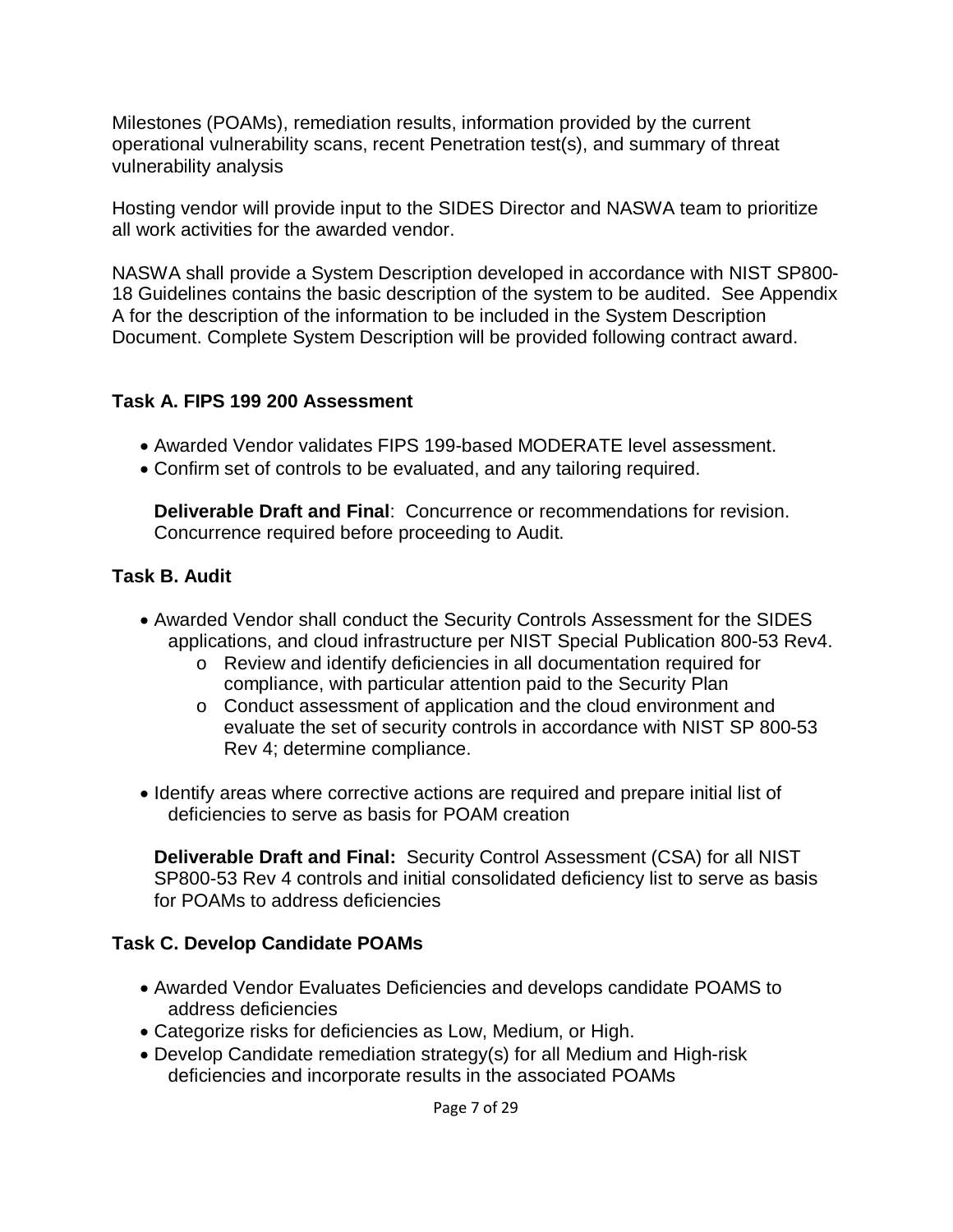Milestones (POAMs), remediation results, information provided by the current operational vulnerability scans, recent Penetration test(s), and summary of threat vulnerability analysis

Hosting vendor will provide input to the SIDES Director and NASWA team to prioritize all work activities for the awarded vendor.

NASWA shall provide a System Description developed in accordance with NIST SP800- 18 Guidelines contains the basic description of the system to be audited. See Appendix A for the description of the information to be included in the System Description Document. Complete System Description will be provided following contract award.

### **Task A. FIPS 199 200 Assessment**

- Awarded Vendor validates FIPS 199-based MODERATE level assessment.
- Confirm set of controls to be evaluated, and any tailoring required.

**Deliverable Draft and Final**: Concurrence or recommendations for revision. Concurrence required before proceeding to Audit.

## **Task B. Audit**

- Awarded Vendor shall conduct the Security Controls Assessment for the SIDES applications, and cloud infrastructure per NIST Special Publication 800-53 Rev4.
	- o Review and identify deficiencies in all documentation required for compliance, with particular attention paid to the Security Plan
	- o Conduct assessment of application and the cloud environment and evaluate the set of security controls in accordance with NIST SP 800-53 Rev 4; determine compliance.
- Identify areas where corrective actions are required and prepare initial list of deficiencies to serve as basis for POAM creation

**Deliverable Draft and Final:** Security Control Assessment (CSA) for all NIST SP800-53 Rev 4 controls and initial consolidated deficiency list to serve as basis for POAMs to address deficiencies

## **Task C. Develop Candidate POAMs**

- Awarded Vendor Evaluates Deficiencies and develops candidate POAMS to address deficiencies
- Categorize risks for deficiencies as Low, Medium, or High.
- Develop Candidate remediation strategy(s) for all Medium and High-risk deficiencies and incorporate results in the associated POAMs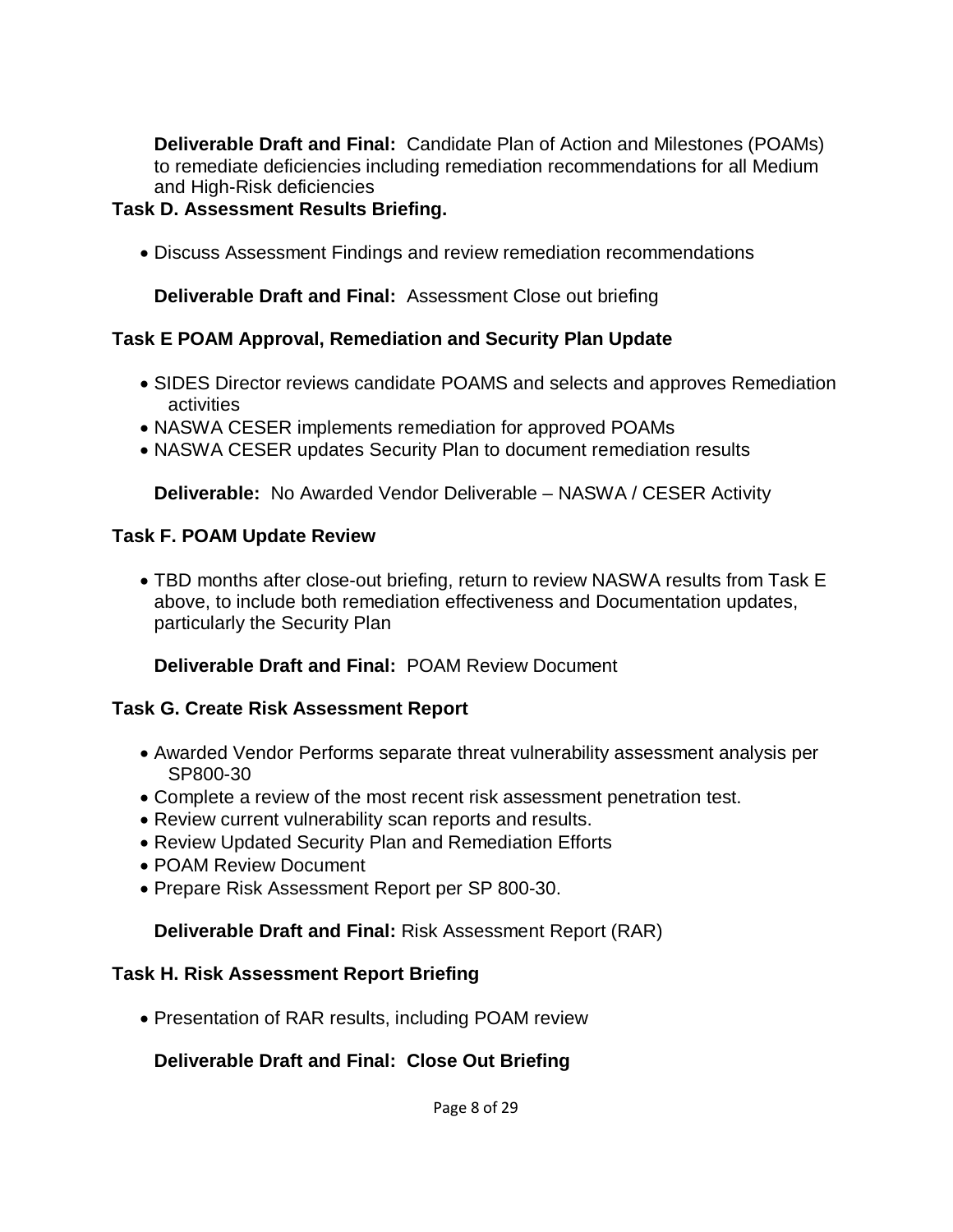**Deliverable Draft and Final:** Candidate Plan of Action and Milestones (POAMs) to remediate deficiencies including remediation recommendations for all Medium and High-Risk deficiencies

### **Task D. Assessment Results Briefing.**

• Discuss Assessment Findings and review remediation recommendations

**Deliverable Draft and Final:** Assessment Close out briefing

### **Task E POAM Approval, Remediation and Security Plan Update**

- SIDES Director reviews candidate POAMS and selects and approves Remediation activities
- NASWA CESER implements remediation for approved POAMs
- NASWA CESER updates Security Plan to document remediation results

**Deliverable:** No Awarded Vendor Deliverable – NASWA / CESER Activity

### **Task F. POAM Update Review**

• TBD months after close-out briefing, return to review NASWA results from Task E above, to include both remediation effectiveness and Documentation updates, particularly the Security Plan

**Deliverable Draft and Final:** POAM Review Document

### **Task G. Create Risk Assessment Report**

- Awarded Vendor Performs separate threat vulnerability assessment analysis per SP800-30
- Complete a review of the most recent risk assessment penetration test.
- Review current vulnerability scan reports and results.
- Review Updated Security Plan and Remediation Efforts
- POAM Review Document
- Prepare Risk Assessment Report per SP 800-30.

### **Deliverable Draft and Final:** Risk Assessment Report (RAR)

### **Task H. Risk Assessment Report Briefing**

• Presentation of RAR results, including POAM review

### **Deliverable Draft and Final: Close Out Briefing**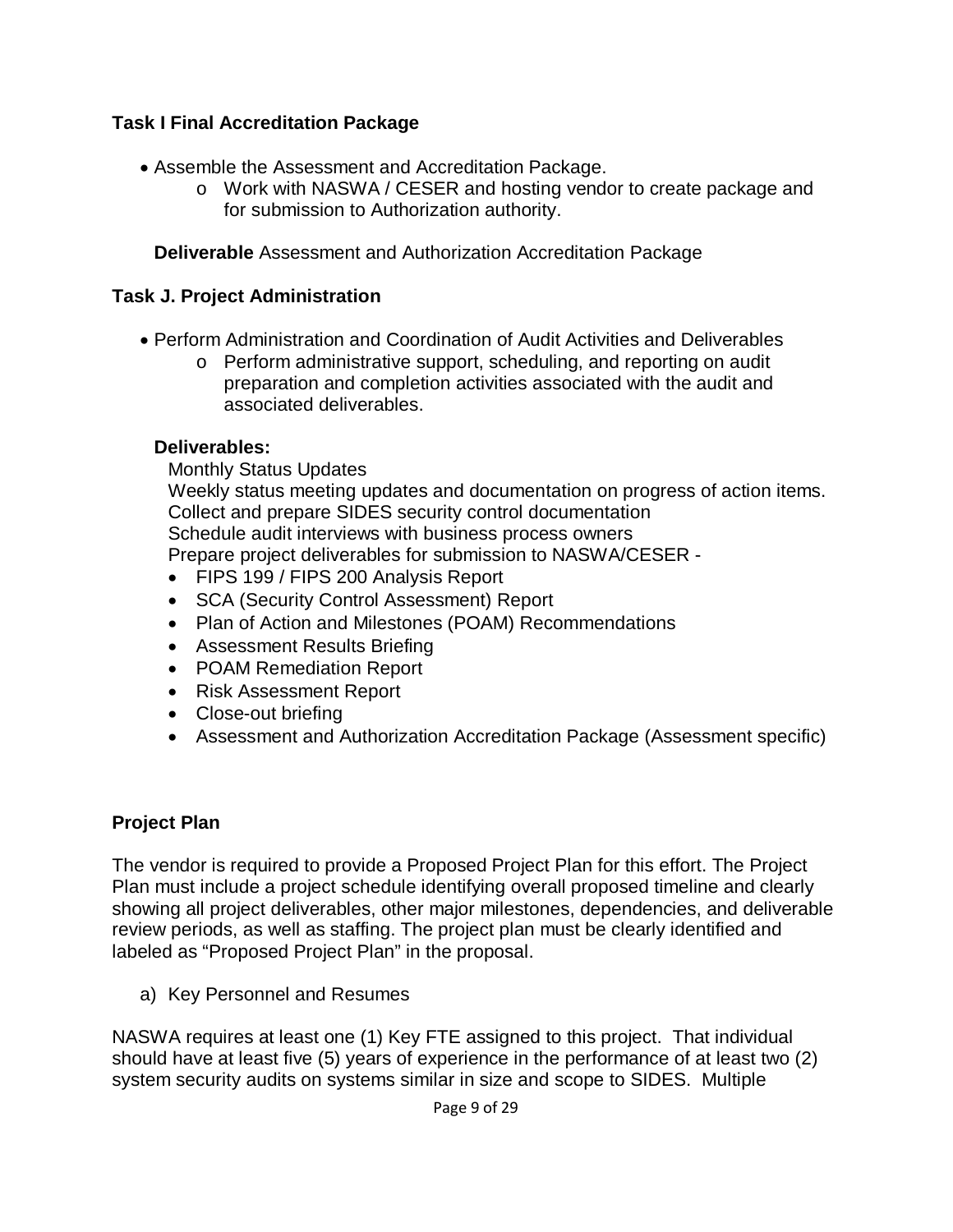## **Task I Final Accreditation Package**

- Assemble the Assessment and Accreditation Package.
	- o Work with NASWA / CESER and hosting vendor to create package and for submission to Authorization authority.

**Deliverable** Assessment and Authorization Accreditation Package

## **Task J. Project Administration**

- Perform Administration and Coordination of Audit Activities and Deliverables
	- o Perform administrative support, scheduling, and reporting on audit preparation and completion activities associated with the audit and associated deliverables.

## **Deliverables:**

Monthly Status Updates Weekly status meeting updates and documentation on progress of action items. Collect and prepare SIDES security control documentation Schedule audit interviews with business process owners Prepare project deliverables for submission to NASWA/CESER -

- FIPS 199 / FIPS 200 Analysis Report
- SCA (Security Control Assessment) Report
- Plan of Action and Milestones (POAM) Recommendations
- Assessment Results Briefing
- POAM Remediation Report
- Risk Assessment Report
- Close-out briefing
- Assessment and Authorization Accreditation Package (Assessment specific)

## **Project Plan**

The vendor is required to provide a Proposed Project Plan for this effort. The Project Plan must include a project schedule identifying overall proposed timeline and clearly showing all project deliverables, other major milestones, dependencies, and deliverable review periods, as well as staffing. The project plan must be clearly identified and labeled as "Proposed Project Plan" in the proposal.

a) Key Personnel and Resumes

NASWA requires at least one (1) Key FTE assigned to this project. That individual should have at least five (5) years of experience in the performance of at least two (2) system security audits on systems similar in size and scope to SIDES. Multiple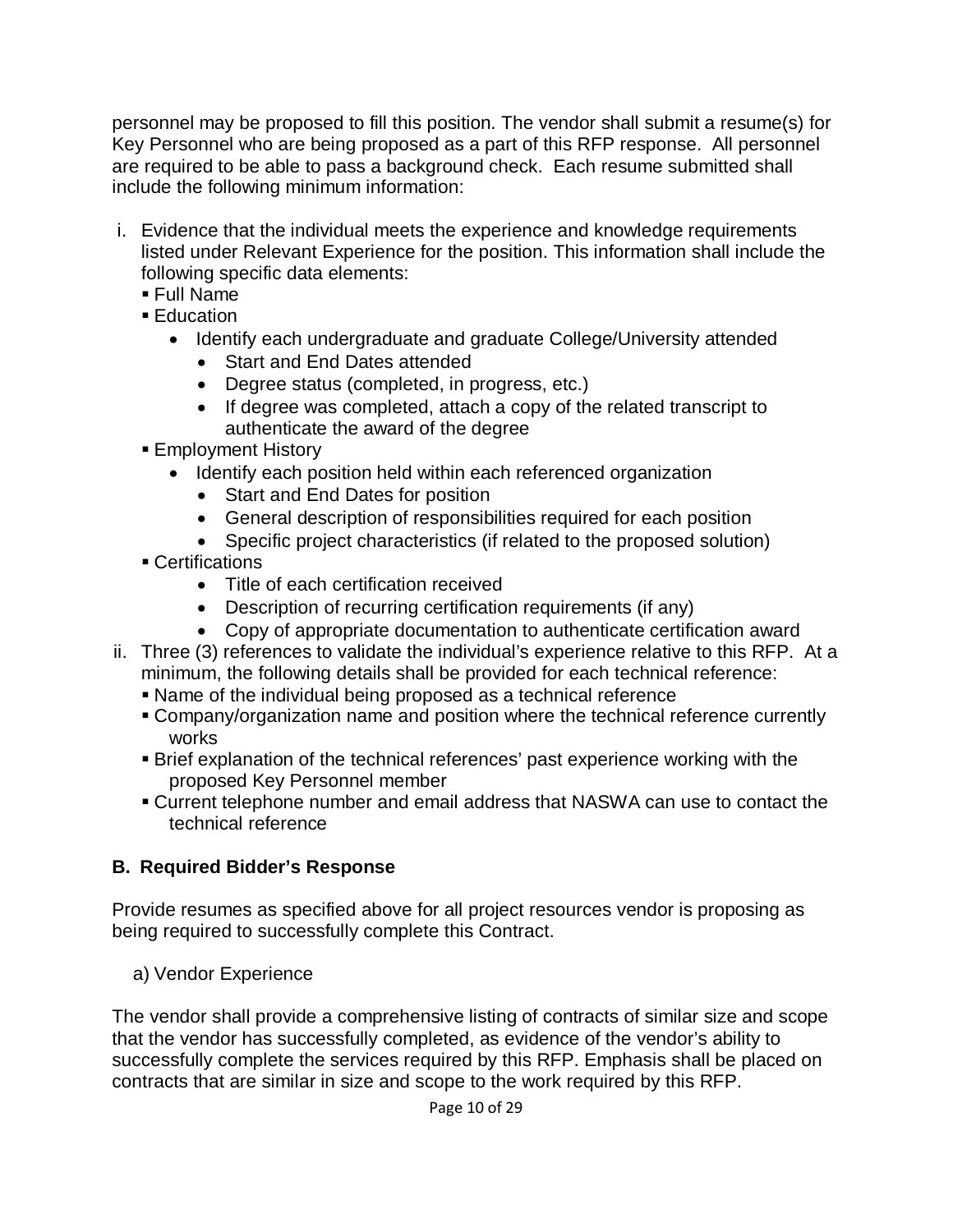personnel may be proposed to fill this position. The vendor shall submit a resume(s) for Key Personnel who are being proposed as a part of this RFP response. All personnel are required to be able to pass a background check. Each resume submitted shall include the following minimum information:

- i. Evidence that the individual meets the experience and knowledge requirements listed under Relevant Experience for the position. This information shall include the following specific data elements:
	- Full Name
	- **Education** 
		- Identify each undergraduate and graduate College/University attended
			- Start and End Dates attended
			- Degree status (completed, in progress, etc.)
			- If degree was completed, attach a copy of the related transcript to authenticate the award of the degree
	- **Employment History** 
		- Identify each position held within each referenced organization
			- Start and End Dates for position
			- General description of responsibilities required for each position
			- Specific project characteristics (if related to the proposed solution)
	- Certifications
		- Title of each certification received
		- Description of recurring certification requirements (if any)
		- Copy of appropriate documentation to authenticate certification award
- ii. Three (3) references to validate the individual's experience relative to this RFP. At a minimum, the following details shall be provided for each technical reference:
	- Name of the individual being proposed as a technical reference
	- Company/organization name and position where the technical reference currently works
	- Brief explanation of the technical references' past experience working with the proposed Key Personnel member
	- Current telephone number and email address that NASWA can use to contact the technical reference

# **B. Required Bidder's Response**

Provide resumes as specified above for all project resources vendor is proposing as being required to successfully complete this Contract.

a) Vendor Experience

The vendor shall provide a comprehensive listing of contracts of similar size and scope that the vendor has successfully completed, as evidence of the vendor's ability to successfully complete the services required by this RFP. Emphasis shall be placed on contracts that are similar in size and scope to the work required by this RFP.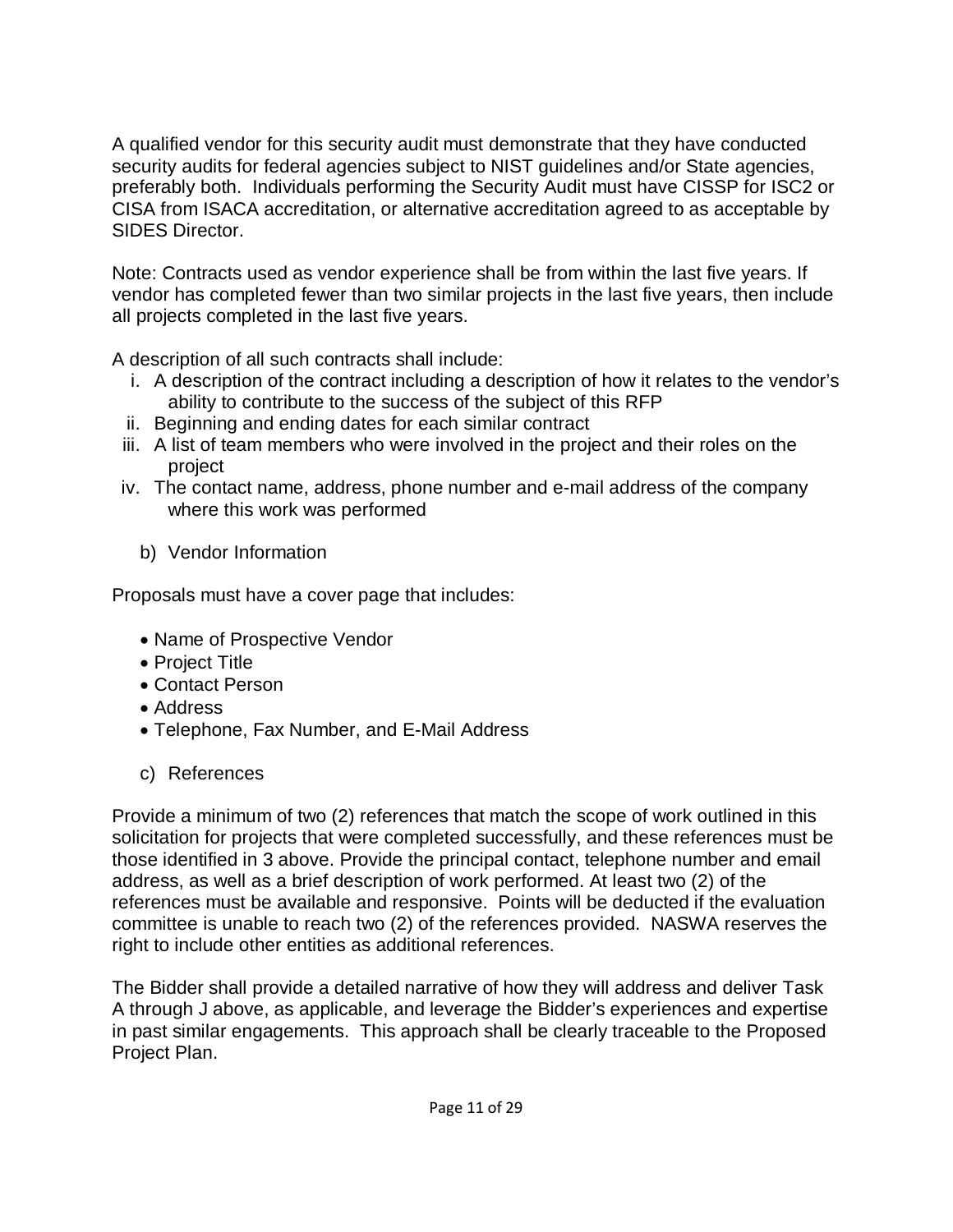A qualified vendor for this security audit must demonstrate that they have conducted security audits for federal agencies subject to NIST guidelines and/or State agencies, preferably both. Individuals performing the Security Audit must have CISSP for ISC2 or CISA from ISACA accreditation, or alternative accreditation agreed to as acceptable by SIDES Director.

Note: Contracts used as vendor experience shall be from within the last five years. If vendor has completed fewer than two similar projects in the last five years, then include all projects completed in the last five years.

A description of all such contracts shall include:

- i. A description of the contract including a description of how it relates to the vendor's ability to contribute to the success of the subject of this RFP
- ii. Beginning and ending dates for each similar contract
- iii. A list of team members who were involved in the project and their roles on the project
- iv. The contact name, address, phone number and e-mail address of the company where this work was performed
	- b) Vendor Information

Proposals must have a cover page that includes:

- Name of Prospective Vendor
- Project Title
- Contact Person
- Address
- Telephone, Fax Number, and E-Mail Address
- c) References

Provide a minimum of two (2) references that match the scope of work outlined in this solicitation for projects that were completed successfully, and these references must be those identified in 3 above. Provide the principal contact, telephone number and email address, as well as a brief description of work performed. At least two (2) of the references must be available and responsive. Points will be deducted if the evaluation committee is unable to reach two (2) of the references provided. NASWA reserves the right to include other entities as additional references.

The Bidder shall provide a detailed narrative of how they will address and deliver Task A through J above, as applicable, and leverage the Bidder's experiences and expertise in past similar engagements. This approach shall be clearly traceable to the Proposed Project Plan.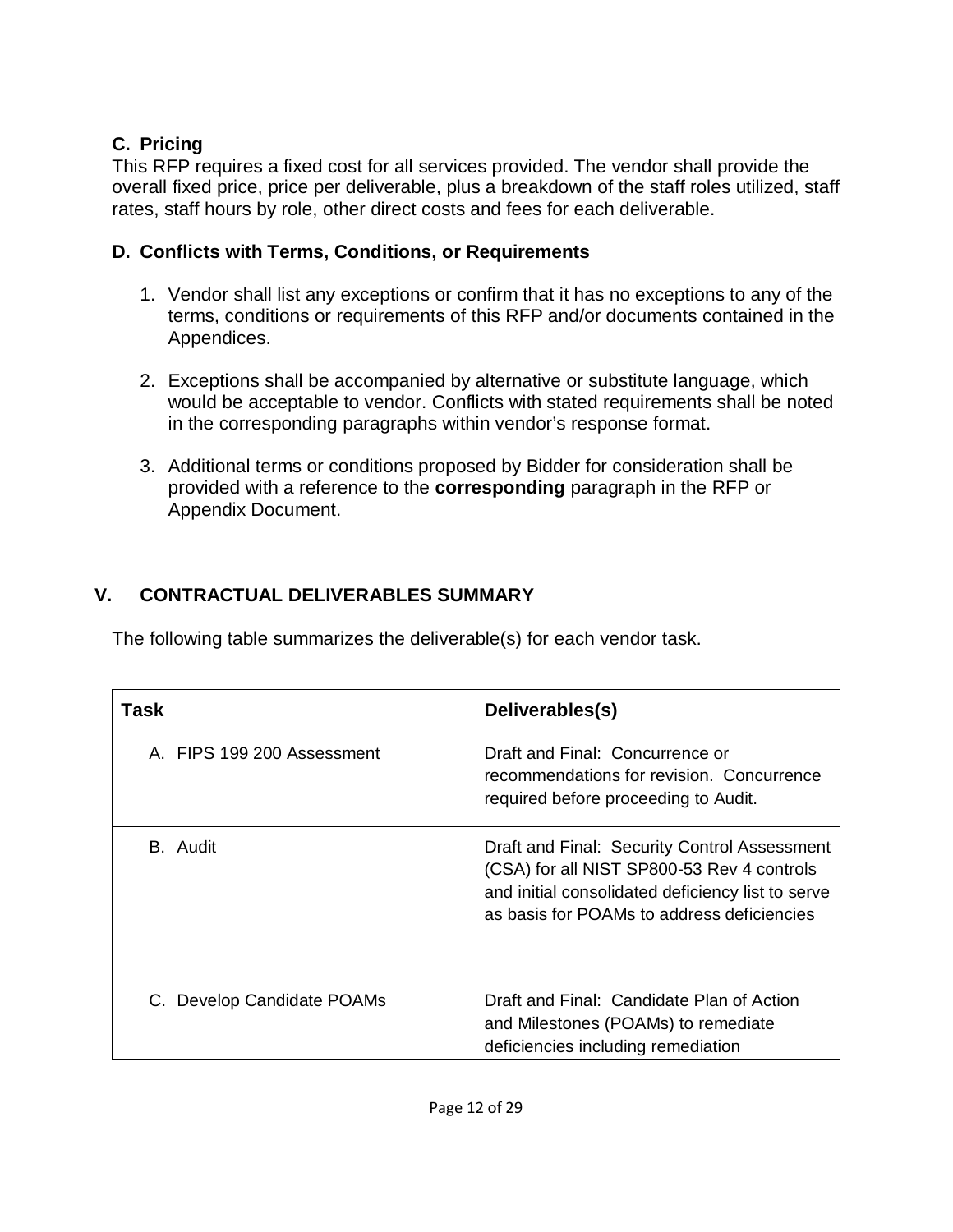# **C. Pricing**

This RFP requires a fixed cost for all services provided. The vendor shall provide the overall fixed price, price per deliverable, plus a breakdown of the staff roles utilized, staff rates, staff hours by role, other direct costs and fees for each deliverable.

# **D. Conflicts with Terms, Conditions, or Requirements**

- 1. Vendor shall list any exceptions or confirm that it has no exceptions to any of the terms, conditions or requirements of this RFP and/or documents contained in the Appendices.
- 2. Exceptions shall be accompanied by alternative or substitute language, which would be acceptable to vendor. Conflicts with stated requirements shall be noted in the corresponding paragraphs within vendor's response format.
- 3. Additional terms or conditions proposed by Bidder for consideration shall be provided with a reference to the **corresponding** paragraph in the RFP or Appendix Document.

# **V. CONTRACTUAL DELIVERABLES SUMMARY**

The following table summarizes the deliverable(s) for each vendor task.

| Task                       | Deliverables(s)                                                                                                                                                                               |
|----------------------------|-----------------------------------------------------------------------------------------------------------------------------------------------------------------------------------------------|
| A. FIPS 199 200 Assessment | Draft and Final: Concurrence or<br>recommendations for revision. Concurrence<br>required before proceeding to Audit.                                                                          |
| B. Audit                   | Draft and Final: Security Control Assessment<br>(CSA) for all NIST SP800-53 Rev 4 controls<br>and initial consolidated deficiency list to serve<br>as basis for POAMs to address deficiencies |
| C. Develop Candidate POAMs | Draft and Final: Candidate Plan of Action<br>and Milestones (POAMs) to remediate<br>deficiencies including remediation                                                                        |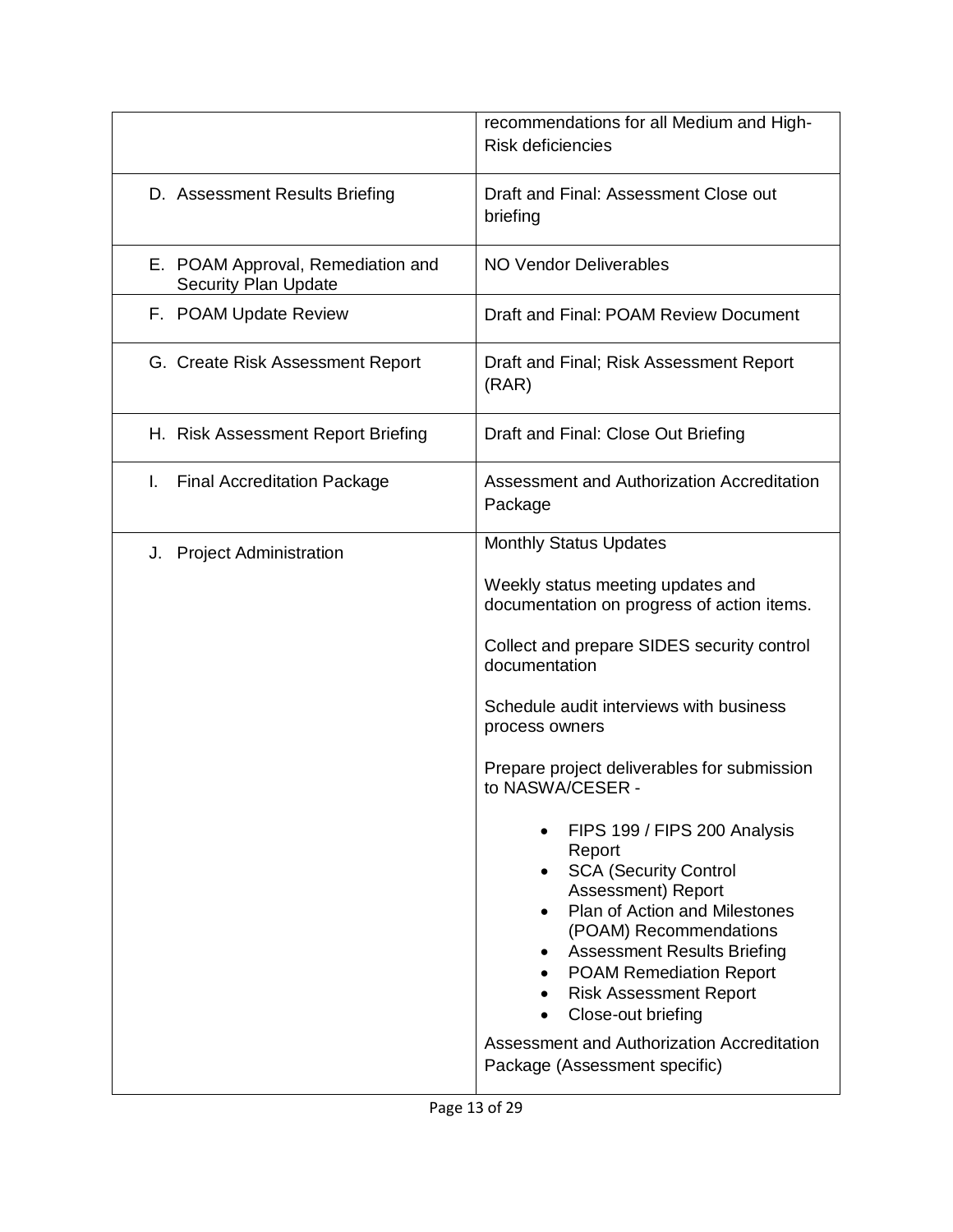|                                                                  | recommendations for all Medium and High-<br><b>Risk deficiencies</b>                                                                                                                                                                                                                                                                                                  |
|------------------------------------------------------------------|-----------------------------------------------------------------------------------------------------------------------------------------------------------------------------------------------------------------------------------------------------------------------------------------------------------------------------------------------------------------------|
| D. Assessment Results Briefing                                   | Draft and Final: Assessment Close out<br>briefing                                                                                                                                                                                                                                                                                                                     |
| E. POAM Approval, Remediation and<br><b>Security Plan Update</b> | <b>NO Vendor Deliverables</b>                                                                                                                                                                                                                                                                                                                                         |
| F. POAM Update Review                                            | Draft and Final: POAM Review Document                                                                                                                                                                                                                                                                                                                                 |
| G. Create Risk Assessment Report                                 | Draft and Final; Risk Assessment Report<br>(RAR)                                                                                                                                                                                                                                                                                                                      |
| H. Risk Assessment Report Briefing                               | Draft and Final: Close Out Briefing                                                                                                                                                                                                                                                                                                                                   |
| I.<br><b>Final Accreditation Package</b>                         | Assessment and Authorization Accreditation<br>Package                                                                                                                                                                                                                                                                                                                 |
| <b>Project Administration</b><br>J.                              | <b>Monthly Status Updates</b>                                                                                                                                                                                                                                                                                                                                         |
|                                                                  | Weekly status meeting updates and<br>documentation on progress of action items.                                                                                                                                                                                                                                                                                       |
|                                                                  | Collect and prepare SIDES security control<br>documentation                                                                                                                                                                                                                                                                                                           |
|                                                                  | Schedule audit interviews with business<br>process owners                                                                                                                                                                                                                                                                                                             |
|                                                                  | Prepare project deliverables for submission<br>to NASWA/CESER -                                                                                                                                                                                                                                                                                                       |
|                                                                  | FIPS 199 / FIPS 200 Analysis<br>Report<br><b>SCA (Security Control</b><br>Assessment) Report<br>Plan of Action and Milestones<br>(POAM) Recommendations<br><b>Assessment Results Briefing</b><br><b>POAM Remediation Report</b><br><b>Risk Assessment Report</b><br>Close-out briefing<br>Assessment and Authorization Accreditation<br>Package (Assessment specific) |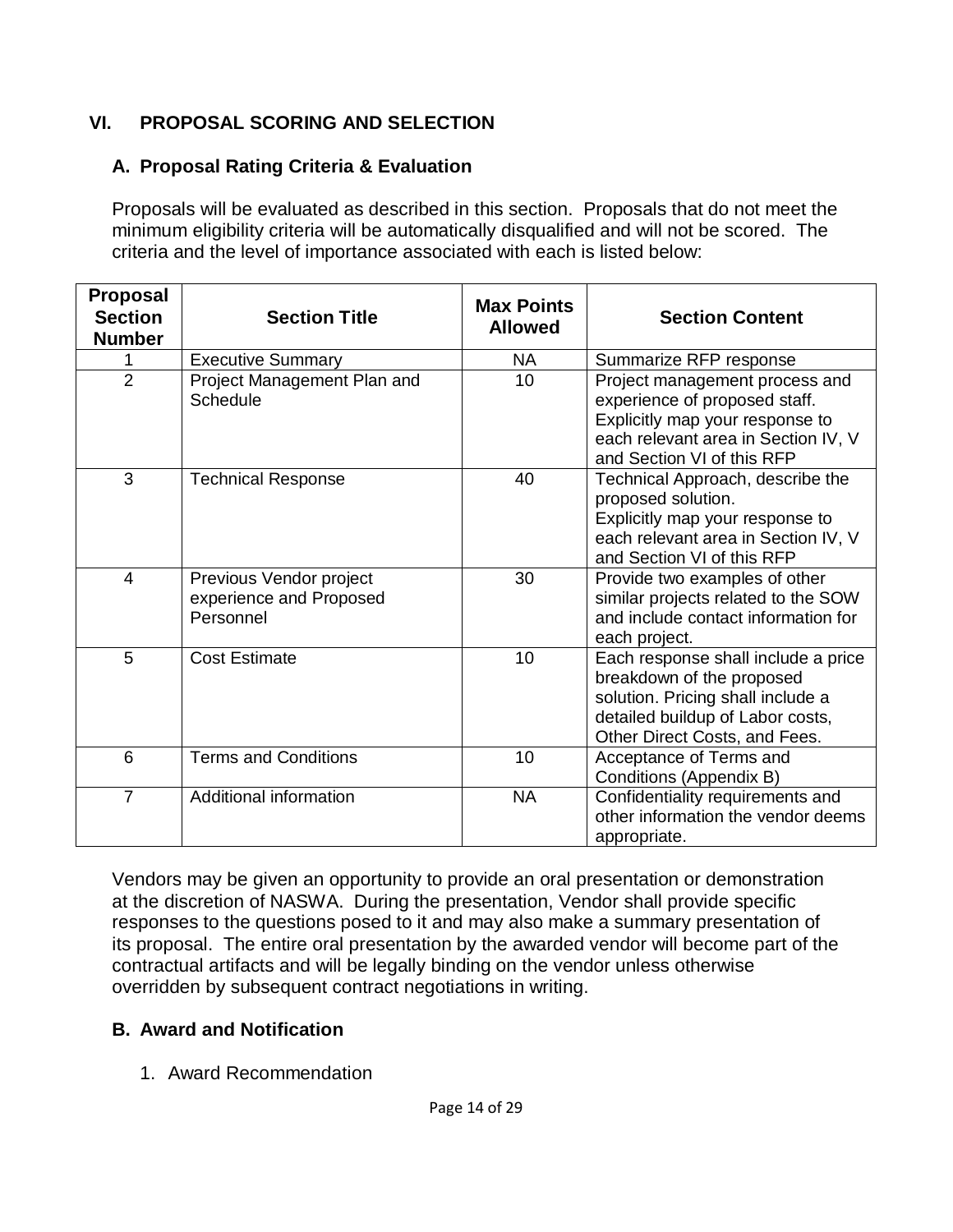## **VI. PROPOSAL SCORING AND SELECTION**

## **A. Proposal Rating Criteria & Evaluation**

Proposals will be evaluated as described in this section. Proposals that do not meet the minimum eligibility criteria will be automatically disqualified and will not be scored. The criteria and the level of importance associated with each is listed below:

| <b>Proposal</b><br><b>Section</b><br><b>Number</b> | <b>Section Title</b>                                            | <b>Max Points</b><br><b>Allowed</b> | <b>Section Content</b>                                                                                                                                                     |
|----------------------------------------------------|-----------------------------------------------------------------|-------------------------------------|----------------------------------------------------------------------------------------------------------------------------------------------------------------------------|
| 1                                                  | <b>Executive Summary</b>                                        | <b>NA</b>                           | Summarize RFP response                                                                                                                                                     |
| $\overline{2}$                                     | Project Management Plan and<br>Schedule                         | 10                                  | Project management process and<br>experience of proposed staff.<br>Explicitly map your response to<br>each relevant area in Section IV, V<br>and Section VI of this RFP    |
| 3                                                  | <b>Technical Response</b>                                       | 40                                  | Technical Approach, describe the<br>proposed solution.<br>Explicitly map your response to<br>each relevant area in Section IV, V<br>and Section VI of this RFP             |
| $\overline{\mathcal{A}}$                           | Previous Vendor project<br>experience and Proposed<br>Personnel | 30                                  | Provide two examples of other<br>similar projects related to the SOW<br>and include contact information for<br>each project.                                               |
| 5                                                  | <b>Cost Estimate</b>                                            | 10                                  | Each response shall include a price<br>breakdown of the proposed<br>solution. Pricing shall include a<br>detailed buildup of Labor costs,<br>Other Direct Costs, and Fees. |
| 6                                                  | <b>Terms and Conditions</b>                                     | 10                                  | Acceptance of Terms and<br>Conditions (Appendix B)                                                                                                                         |
| $\overline{7}$                                     | Additional information                                          | <b>NA</b>                           | Confidentiality requirements and<br>other information the vendor deems<br>appropriate.                                                                                     |

Vendors may be given an opportunity to provide an oral presentation or demonstration at the discretion of NASWA. During the presentation, Vendor shall provide specific responses to the questions posed to it and may also make a summary presentation of its proposal. The entire oral presentation by the awarded vendor will become part of the contractual artifacts and will be legally binding on the vendor unless otherwise overridden by subsequent contract negotiations in writing.

## **B. Award and Notification**

1. Award Recommendation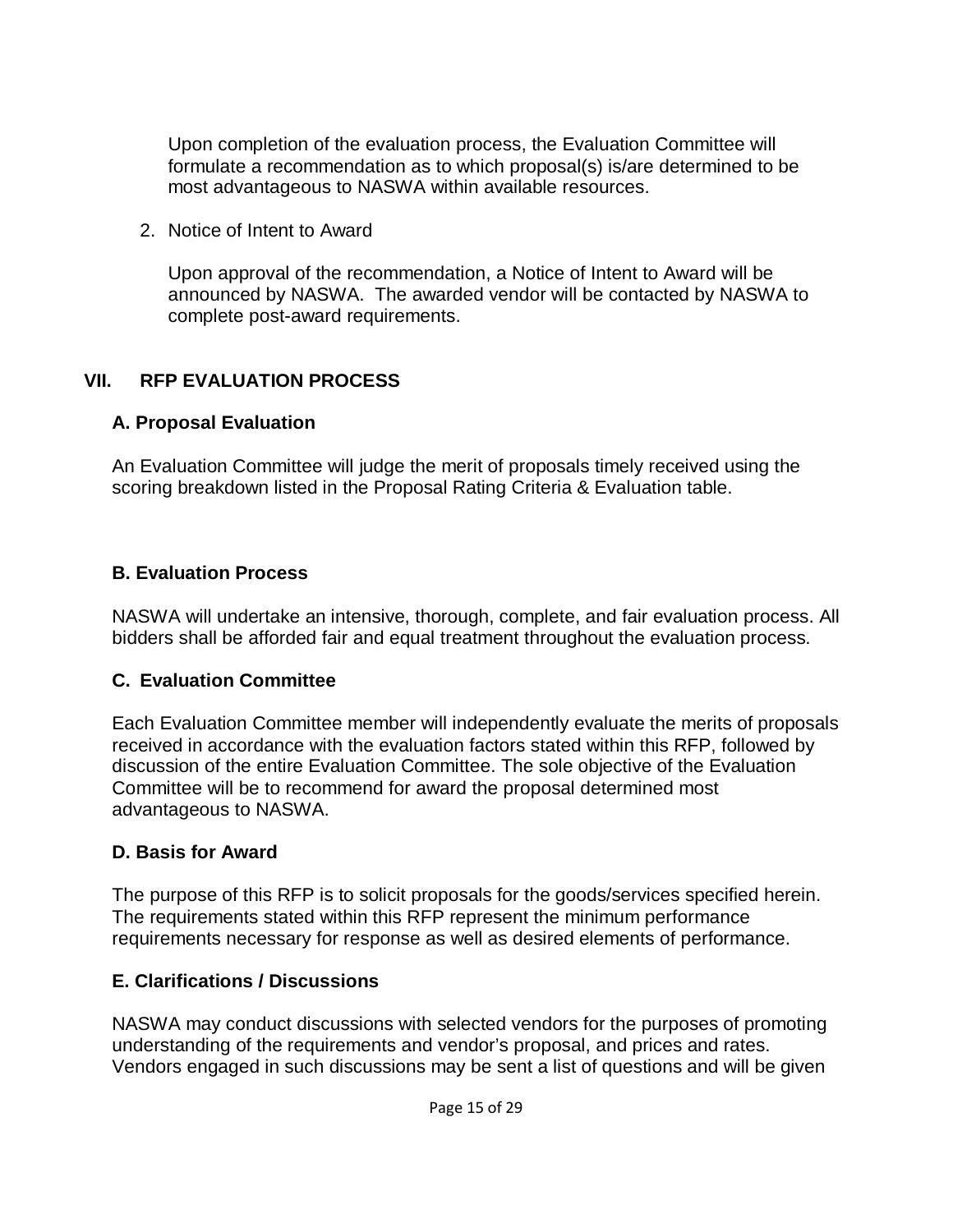Upon completion of the evaluation process, the Evaluation Committee will formulate a recommendation as to which proposal(s) is/are determined to be most advantageous to NASWA within available resources.

2. Notice of Intent to Award

Upon approval of the recommendation, a Notice of Intent to Award will be announced by NASWA. The awarded vendor will be contacted by NASWA to complete post-award requirements.

## **VII. RFP EVALUATION PROCESS**

## **A. Proposal Evaluation**

An Evaluation Committee will judge the merit of proposals timely received using the scoring breakdown listed in the Proposal Rating Criteria & Evaluation table.

## **B. Evaluation Process**

NASWA will undertake an intensive, thorough, complete, and fair evaluation process. All bidders shall be afforded fair and equal treatment throughout the evaluation process.

## **C. Evaluation Committee**

Each Evaluation Committee member will independently evaluate the merits of proposals received in accordance with the evaluation factors stated within this RFP, followed by discussion of the entire Evaluation Committee. The sole objective of the Evaluation Committee will be to recommend for award the proposal determined most advantageous to NASWA.

## **D. Basis for Award**

The purpose of this RFP is to solicit proposals for the goods/services specified herein. The requirements stated within this RFP represent the minimum performance requirements necessary for response as well as desired elements of performance.

## **E. Clarifications / Discussions**

NASWA may conduct discussions with selected vendors for the purposes of promoting understanding of the requirements and vendor's proposal, and prices and rates. Vendors engaged in such discussions may be sent a list of questions and will be given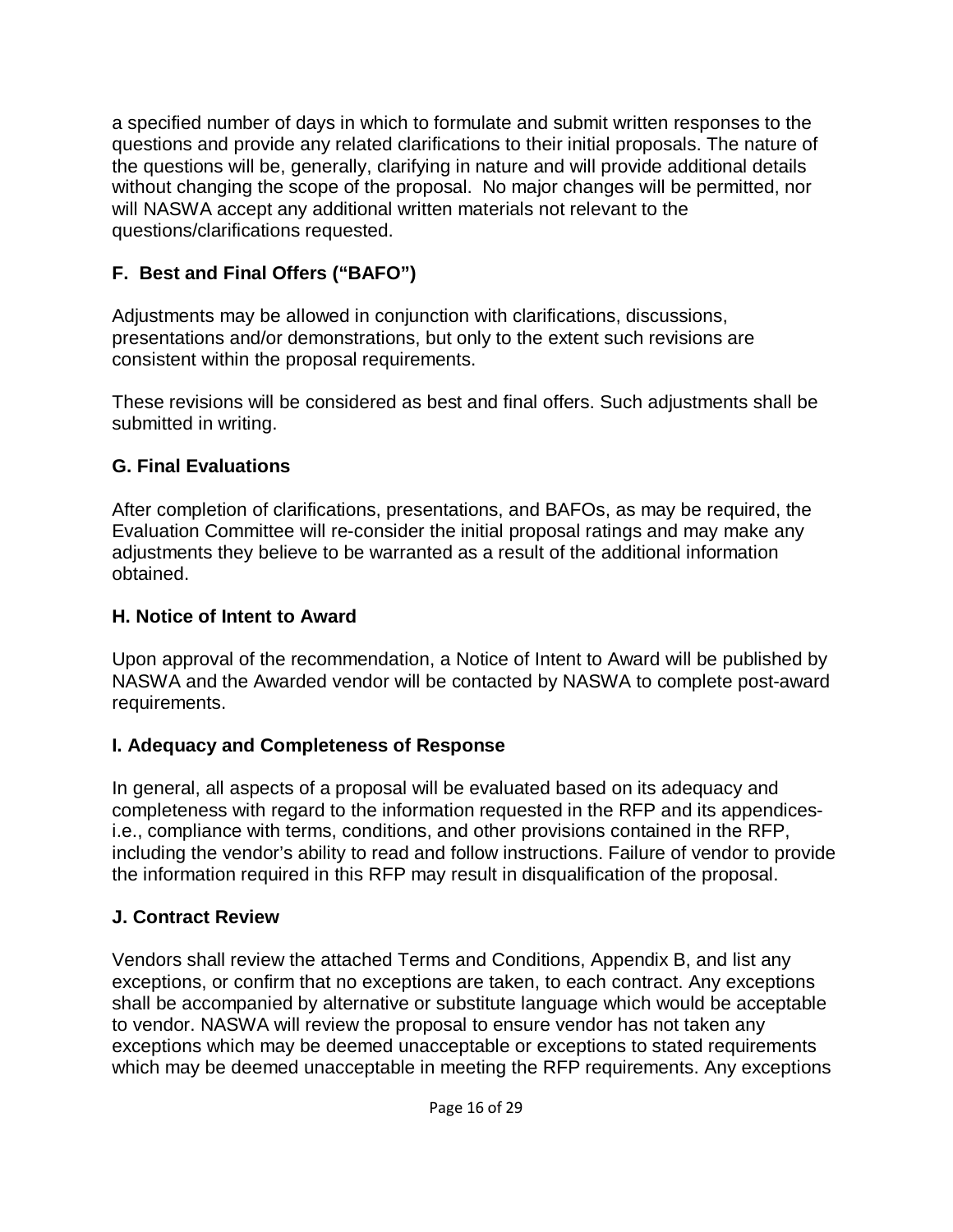a specified number of days in which to formulate and submit written responses to the questions and provide any related clarifications to their initial proposals. The nature of the questions will be, generally, clarifying in nature and will provide additional details without changing the scope of the proposal. No major changes will be permitted, nor will NASWA accept any additional written materials not relevant to the questions/clarifications requested.

# **F. Best and Final Offers ("BAFO")**

Adjustments may be allowed in conjunction with clarifications, discussions, presentations and/or demonstrations, but only to the extent such revisions are consistent within the proposal requirements.

These revisions will be considered as best and final offers. Such adjustments shall be submitted in writing.

## **G. Final Evaluations**

After completion of clarifications, presentations, and BAFOs, as may be required, the Evaluation Committee will re-consider the initial proposal ratings and may make any adjustments they believe to be warranted as a result of the additional information obtained.

## **H. Notice of Intent to Award**

Upon approval of the recommendation, a Notice of Intent to Award will be published by NASWA and the Awarded vendor will be contacted by NASWA to complete post-award requirements.

## **I. Adequacy and Completeness of Response**

In general, all aspects of a proposal will be evaluated based on its adequacy and completeness with regard to the information requested in the RFP and its appendicesi.e., compliance with terms, conditions, and other provisions contained in the RFP, including the vendor's ability to read and follow instructions. Failure of vendor to provide the information required in this RFP may result in disqualification of the proposal.

# **J. Contract Review**

Vendors shall review the attached Terms and Conditions, Appendix B, and list any exceptions, or confirm that no exceptions are taken, to each contract. Any exceptions shall be accompanied by alternative or substitute language which would be acceptable to vendor. NASWA will review the proposal to ensure vendor has not taken any exceptions which may be deemed unacceptable or exceptions to stated requirements which may be deemed unacceptable in meeting the RFP requirements. Any exceptions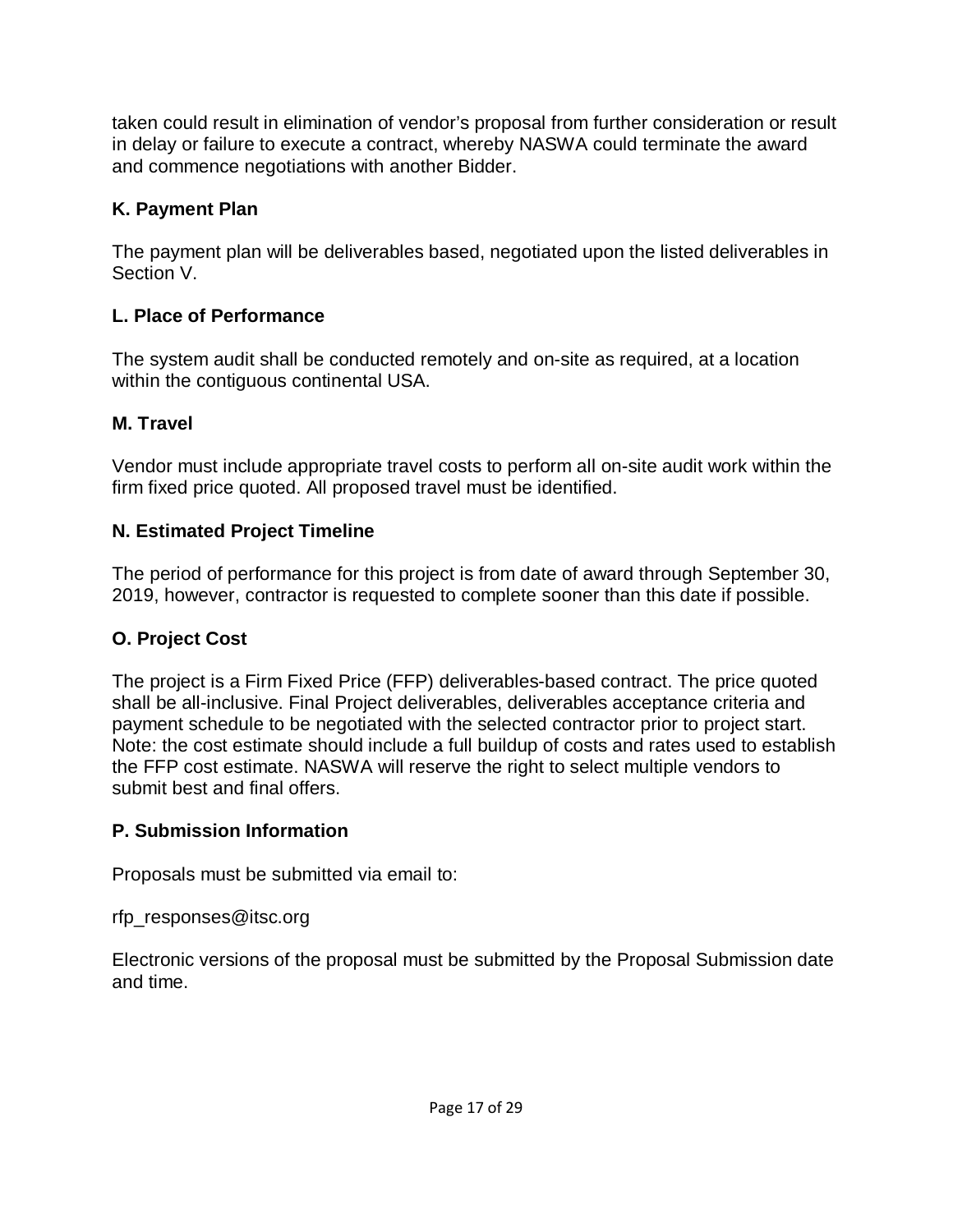taken could result in elimination of vendor's proposal from further consideration or result in delay or failure to execute a contract, whereby NASWA could terminate the award and commence negotiations with another Bidder.

# **K. Payment Plan**

The payment plan will be deliverables based, negotiated upon the listed deliverables in Section V.

# **L. Place of Performance**

The system audit shall be conducted remotely and on-site as required, at a location within the contiguous continental USA.

# **M. Travel**

Vendor must include appropriate travel costs to perform all on-site audit work within the firm fixed price quoted. All proposed travel must be identified.

# **N. Estimated Project Timeline**

The period of performance for this project is from date of award through September 30, 2019, however, contractor is requested to complete sooner than this date if possible.

# **O. Project Cost**

The project is a Firm Fixed Price (FFP) deliverables-based contract. The price quoted shall be all-inclusive. Final Project deliverables, deliverables acceptance criteria and payment schedule to be negotiated with the selected contractor prior to project start. Note: the cost estimate should include a full buildup of costs and rates used to establish the FFP cost estimate. NASWA will reserve the right to select multiple vendors to submit best and final offers.

# **P. Submission Information**

Proposals must be submitted via email to:

rfp\_responses@itsc.org

Electronic versions of the proposal must be submitted by the Proposal Submission date and time.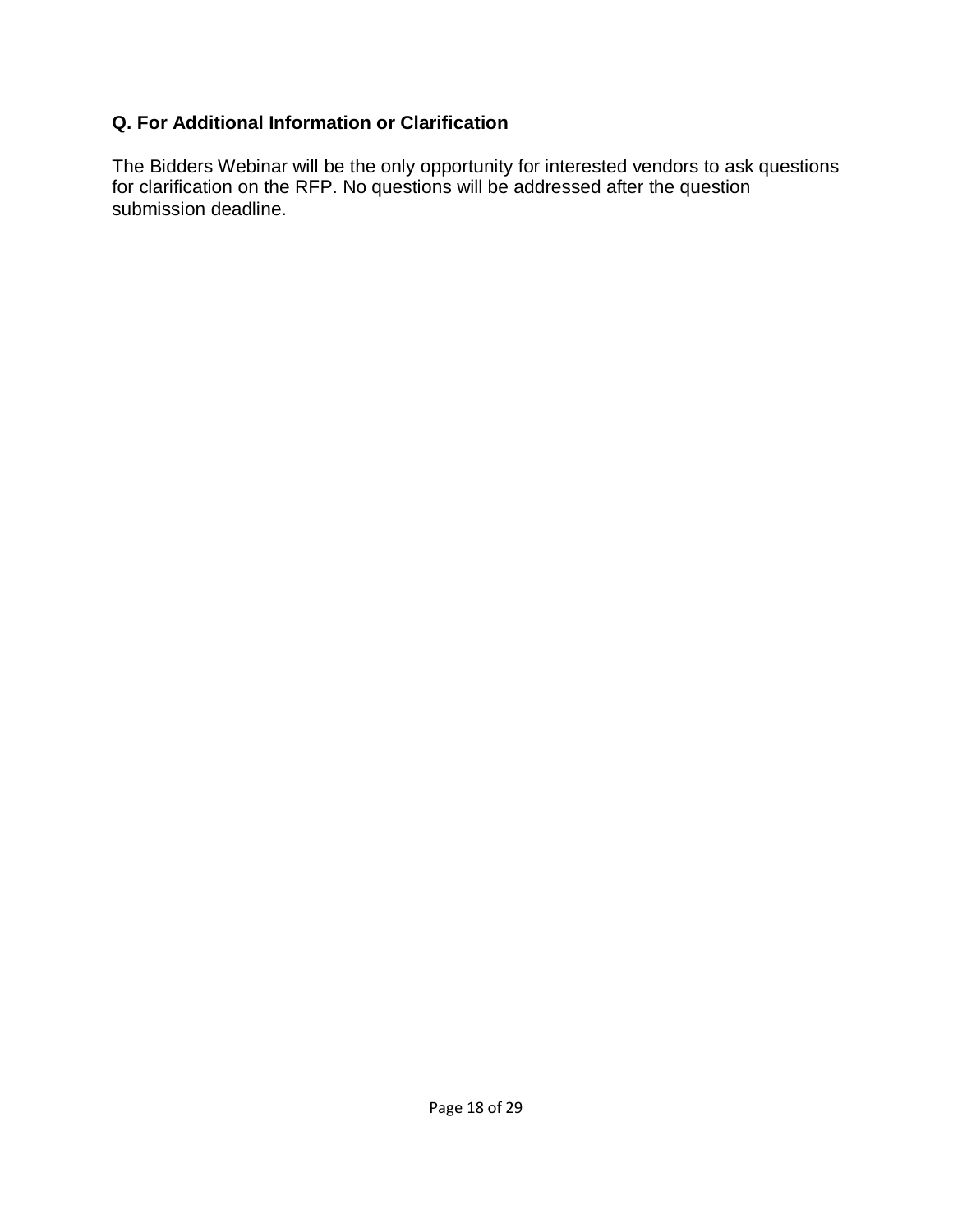## **Q. For Additional Information or Clarification**

The Bidders Webinar will be the only opportunity for interested vendors to ask questions for clarification on the RFP. No questions will be addressed after the question submission deadline.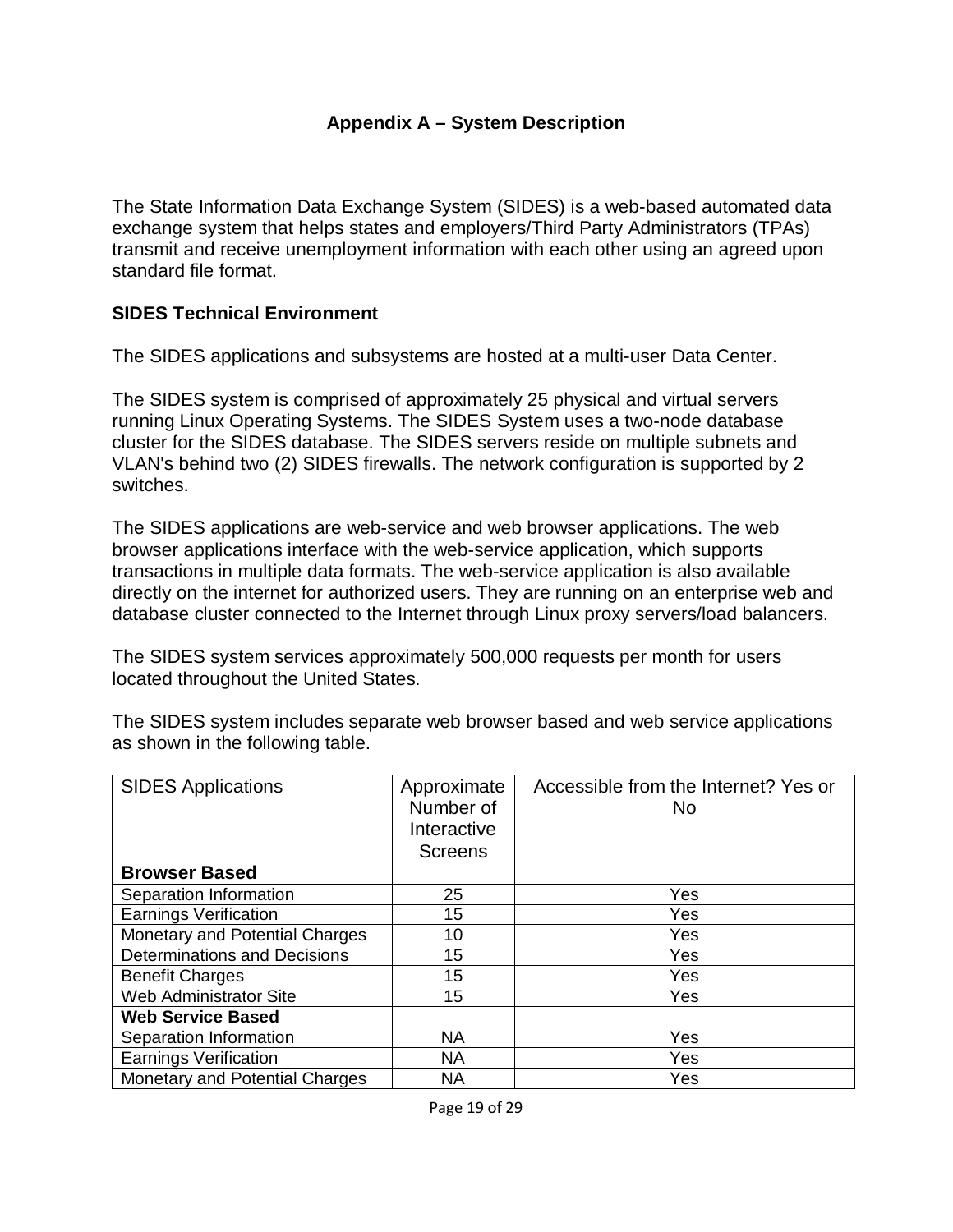### **Appendix A – System Description**

The State Information Data Exchange System (SIDES) is a web-based automated data exchange system that helps states and employers/Third Party Administrators (TPAs) transmit and receive unemployment information with each other using an agreed upon standard file format.

### **SIDES Technical Environment**

The SIDES applications and subsystems are hosted at a multi-user Data Center.

The SIDES system is comprised of approximately 25 physical and virtual servers running Linux Operating Systems. The SIDES System uses a two-node database cluster for the SIDES database. The SIDES servers reside on multiple subnets and VLAN's behind two (2) SIDES firewalls. The network configuration is supported by 2 switches.

The SIDES applications are web-service and web browser applications. The web browser applications interface with the web-service application, which supports transactions in multiple data formats. The web-service application is also available directly on the internet for authorized users. They are running on an enterprise web and database cluster connected to the Internet through Linux proxy servers/load balancers.

The SIDES system services approximately 500,000 requests per month for users located throughout the United States.

| <b>SIDES Applications</b>           | Approximate<br>Number of | Accessible from the Internet? Yes or<br>No. |
|-------------------------------------|--------------------------|---------------------------------------------|
|                                     | Interactive              |                                             |
|                                     | <b>Screens</b>           |                                             |
| <b>Browser Based</b>                |                          |                                             |
| Separation Information              | 25                       | Yes                                         |
| <b>Earnings Verification</b>        | 15                       | Yes                                         |
| Monetary and Potential Charges      | 10                       | Yes                                         |
| <b>Determinations and Decisions</b> | 15                       | Yes                                         |
| <b>Benefit Charges</b>              | 15                       | Yes                                         |
| <b>Web Administrator Site</b>       | 15                       | Yes                                         |
| <b>Web Service Based</b>            |                          |                                             |
| Separation Information              | <b>NA</b>                | Yes                                         |
| <b>Earnings Verification</b>        | <b>NA</b>                | Yes                                         |
| Monetary and Potential Charges      | <b>NA</b>                | Yes                                         |

The SIDES system includes separate web browser based and web service applications as shown in the following table.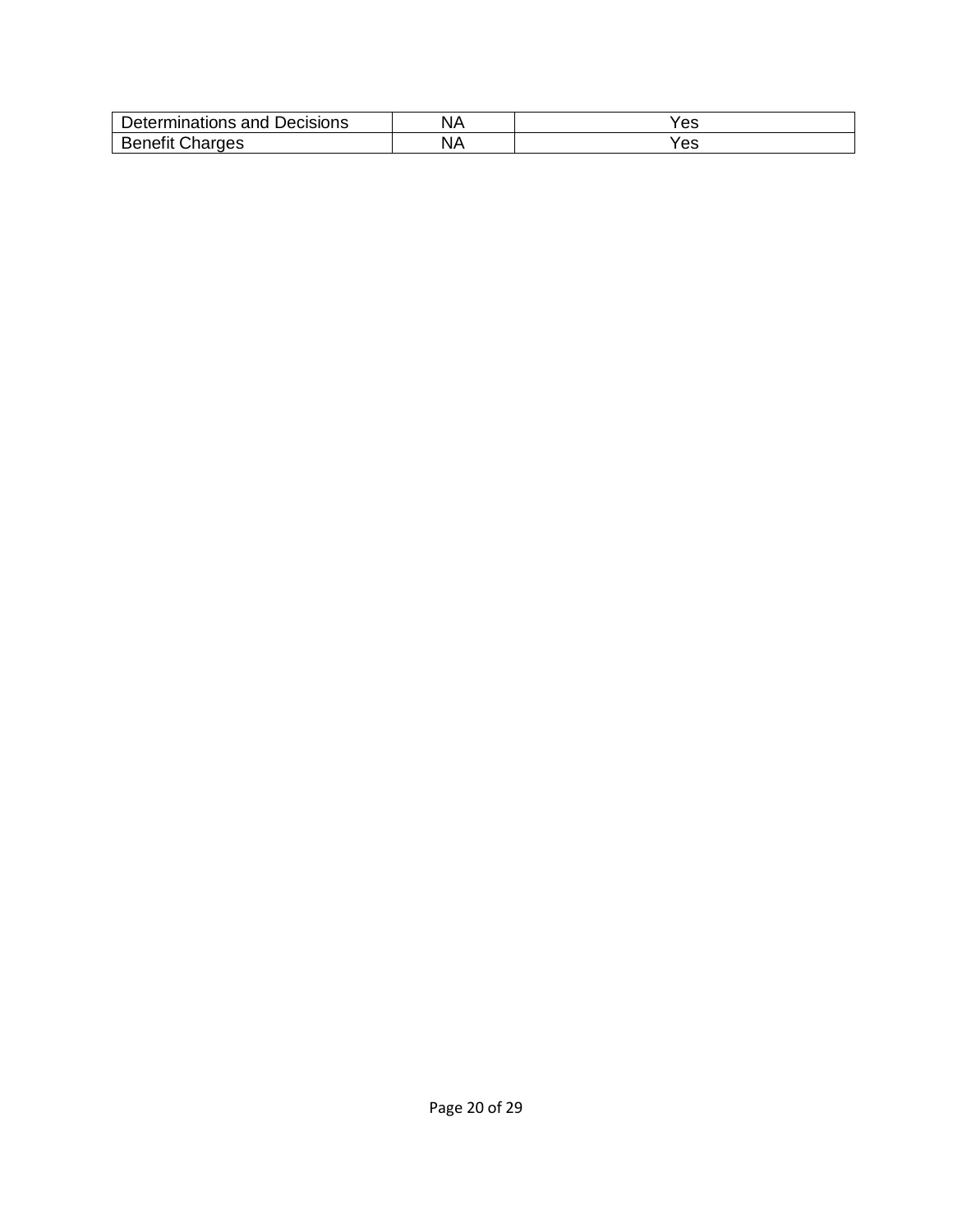| Decisions<br>$\sim$<br>∸י<br>.<br>וי ' | es |
|----------------------------------------|----|
| $\sim$                                 | es |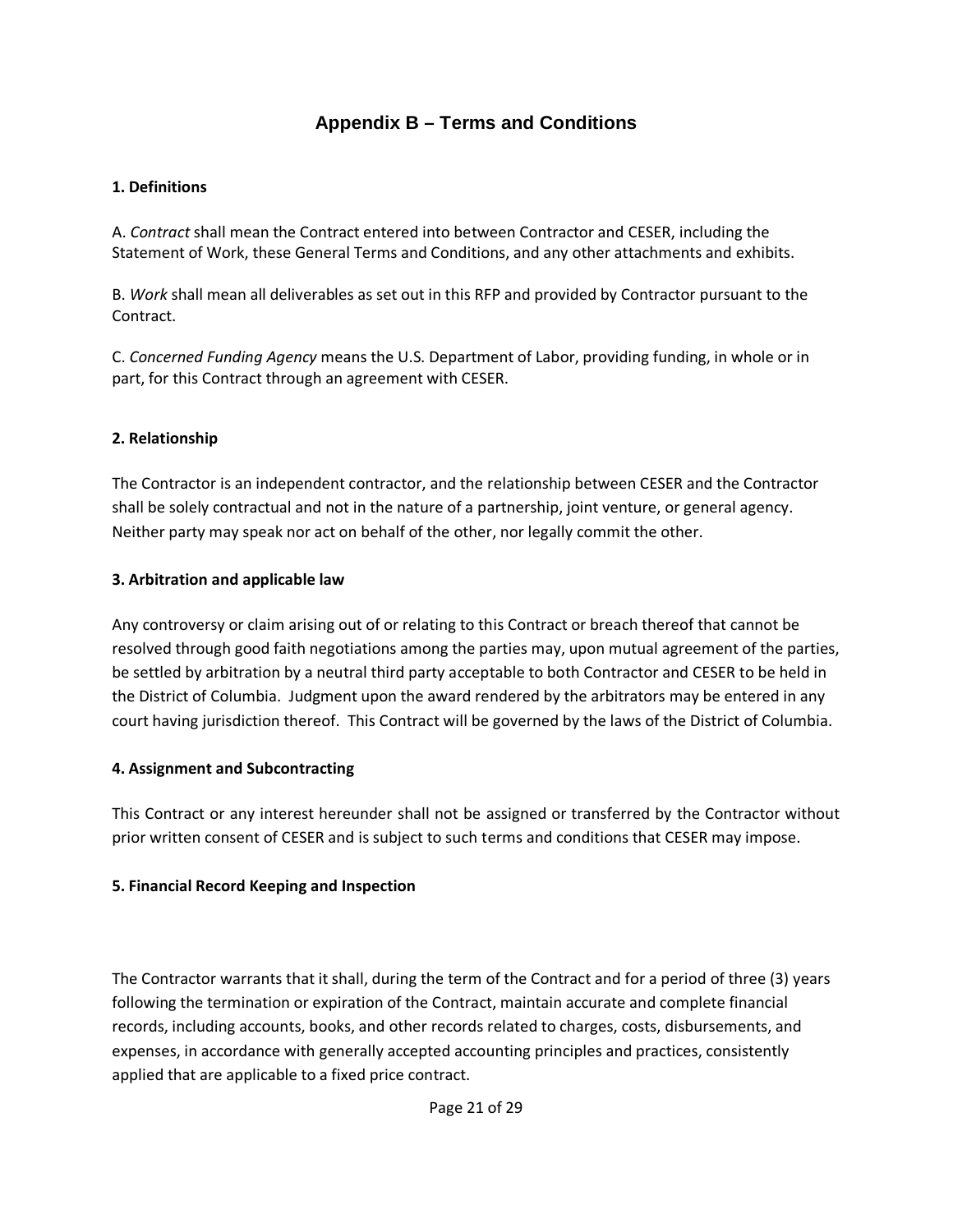### **Appendix B – Terms and Conditions**

#### **1. Definitions**

A. *Contract* shall mean the Contract entered into between Contractor and CESER, including the Statement of Work, these General Terms and Conditions, and any other attachments and exhibits.

B. *Work* shall mean all deliverables as set out in this RFP and provided by Contractor pursuant to the Contract.

C. *Concerned Funding Agency* means the U.S. Department of Labor, providing funding, in whole or in part, for this Contract through an agreement with CESER.

#### **2. Relationship**

The Contractor is an independent contractor, and the relationship between CESER and the Contractor shall be solely contractual and not in the nature of a partnership, joint venture, or general agency. Neither party may speak nor act on behalf of the other, nor legally commit the other.

#### **3. Arbitration and applicable law**

Any controversy or claim arising out of or relating to this Contract or breach thereof that cannot be resolved through good faith negotiations among the parties may, upon mutual agreement of the parties, be settled by arbitration by a neutral third party acceptable to both Contractor and CESER to be held in the District of Columbia. Judgment upon the award rendered by the arbitrators may be entered in any court having jurisdiction thereof. This Contract will be governed by the laws of the District of Columbia.

#### **4. Assignment and Subcontracting**

This Contract or any interest hereunder shall not be assigned or transferred by the Contractor without prior written consent of CESER and is subject to such terms and conditions that CESER may impose.

#### **5. Financial Record Keeping and Inspection**

The Contractor warrants that it shall, during the term of the Contract and for a period of three (3) years following the termination or expiration of the Contract, maintain accurate and complete financial records, including accounts, books, and other records related to charges, costs, disbursements, and expenses, in accordance with generally accepted accounting principles and practices, consistently applied that are applicable to a fixed price contract.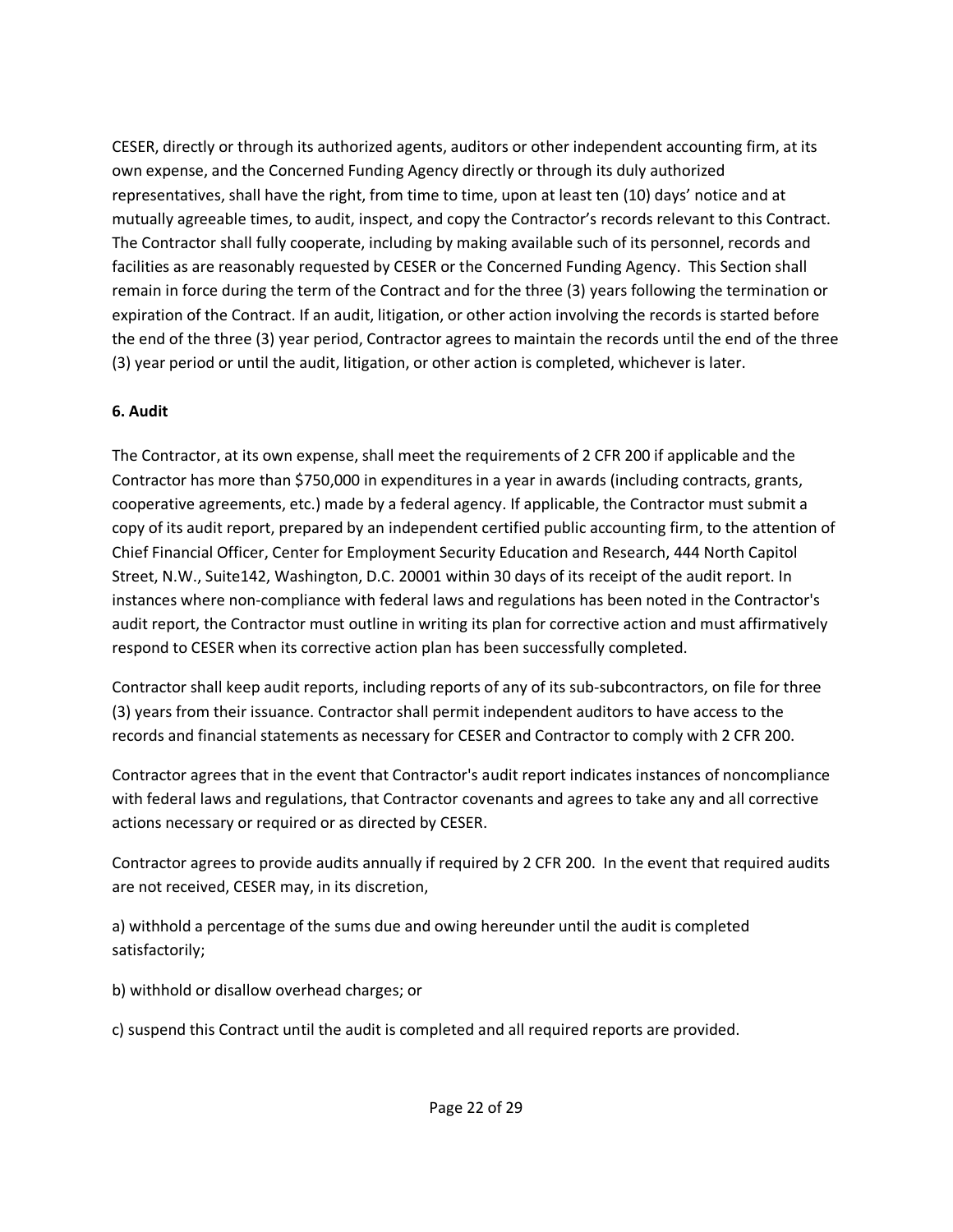CESER, directly or through its authorized agents, auditors or other independent accounting firm, at its own expense, and the Concerned Funding Agency directly or through its duly authorized representatives, shall have the right, from time to time, upon at least ten (10) days' notice and at mutually agreeable times, to audit, inspect, and copy the Contractor's records relevant to this Contract. The Contractor shall fully cooperate, including by making available such of its personnel, records and facilities as are reasonably requested by CESER or the Concerned Funding Agency. This Section shall remain in force during the term of the Contract and for the three (3) years following the termination or expiration of the Contract. If an audit, litigation, or other action involving the records is started before the end of the three (3) year period, Contractor agrees to maintain the records until the end of the three (3) year period or until the audit, litigation, or other action is completed, whichever is later.

### **6. Audit**

The Contractor, at its own expense, shall meet the requirements of 2 CFR 200 if applicable and the Contractor has more than \$750,000 in expenditures in a year in awards (including contracts, grants, cooperative agreements, etc.) made by a federal agency. If applicable, the Contractor must submit a copy of its audit report, prepared by an independent certified public accounting firm, to the attention of Chief Financial Officer, Center for Employment Security Education and Research, 444 North Capitol Street, N.W., Suite142, Washington, D.C. 20001 within 30 days of its receipt of the audit report. In instances where non-compliance with federal laws and regulations has been noted in the Contractor's audit report, the Contractor must outline in writing its plan for corrective action and must affirmatively respond to CESER when its corrective action plan has been successfully completed.

Contractor shall keep audit reports, including reports of any of its sub-subcontractors, on file for three (3) years from their issuance. Contractor shall permit independent auditors to have access to the records and financial statements as necessary for CESER and Contractor to comply with 2 CFR 200.

Contractor agrees that in the event that Contractor's audit report indicates instances of noncompliance with federal laws and regulations, that Contractor covenants and agrees to take any and all corrective actions necessary or required or as directed by CESER.

Contractor agrees to provide audits annually if required by 2 CFR 200. In the event that required audits are not received, CESER may, in its discretion,

a) withhold a percentage of the sums due and owing hereunder until the audit is completed satisfactorily;

b) withhold or disallow overhead charges; or

c) suspend this Contract until the audit is completed and all required reports are provided.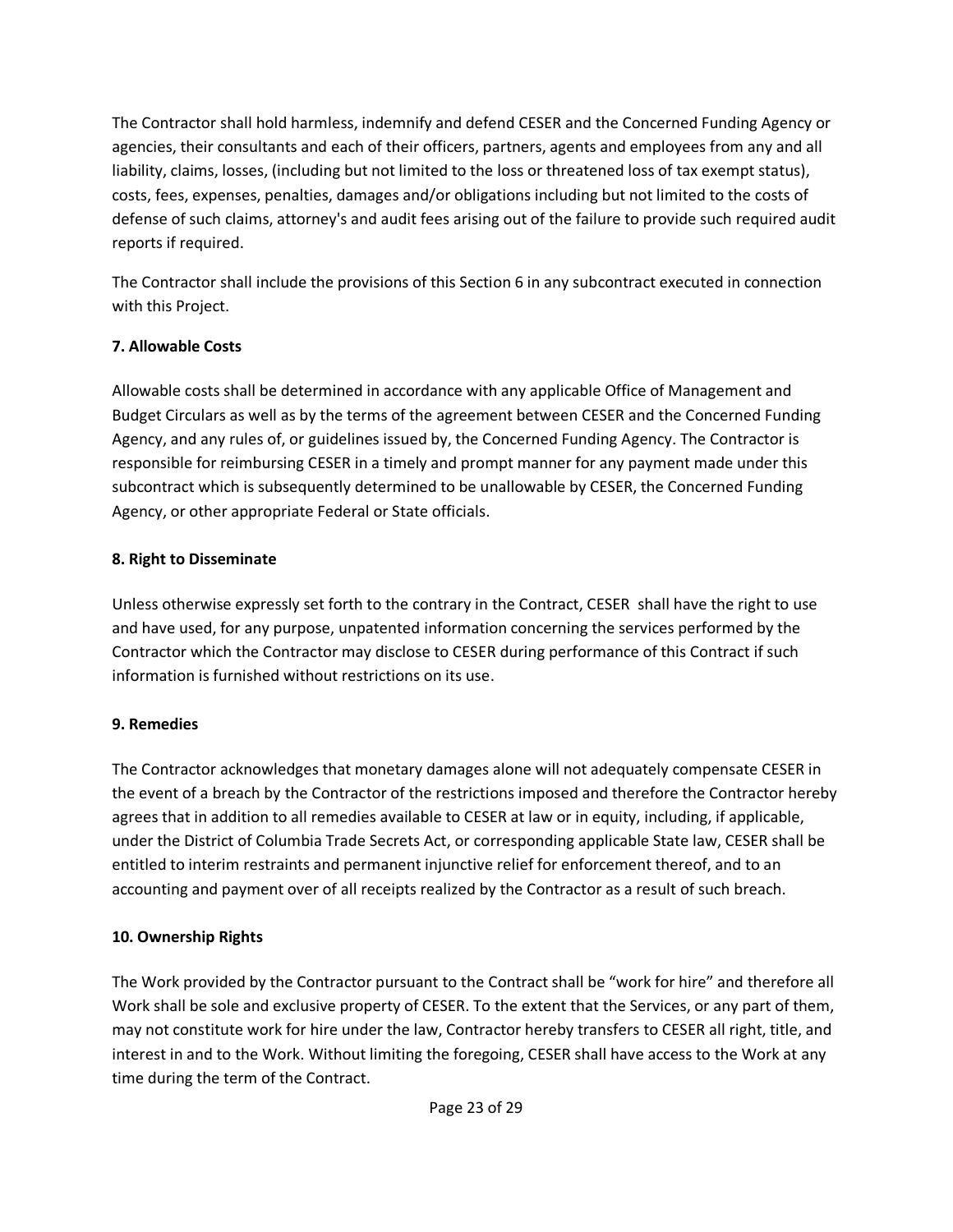The Contractor shall hold harmless, indemnify and defend CESER and the Concerned Funding Agency or agencies, their consultants and each of their officers, partners, agents and employees from any and all liability, claims, losses, (including but not limited to the loss or threatened loss of tax exempt status), costs, fees, expenses, penalties, damages and/or obligations including but not limited to the costs of defense of such claims, attorney's and audit fees arising out of the failure to provide such required audit reports if required.

The Contractor shall include the provisions of this Section 6 in any subcontract executed in connection with this Project.

### **7. Allowable Costs**

Allowable costs shall be determined in accordance with any applicable Office of Management and Budget Circulars as well as by the terms of the agreement between CESER and the Concerned Funding Agency, and any rules of, or guidelines issued by, the Concerned Funding Agency. The Contractor is responsible for reimbursing CESER in a timely and prompt manner for any payment made under this subcontract which is subsequently determined to be unallowable by CESER, the Concerned Funding Agency, or other appropriate Federal or State officials.

### **8. Right to Disseminate**

Unless otherwise expressly set forth to the contrary in the Contract, CESER shall have the right to use and have used, for any purpose, unpatented information concerning the services performed by the Contractor which the Contractor may disclose to CESER during performance of this Contract if such information is furnished without restrictions on its use.

## **9. Remedies**

The Contractor acknowledges that monetary damages alone will not adequately compensate CESER in the event of a breach by the Contractor of the restrictions imposed and therefore the Contractor hereby agrees that in addition to all remedies available to CESER at law or in equity, including, if applicable, under the District of Columbia Trade Secrets Act, or corresponding applicable State law, CESER shall be entitled to interim restraints and permanent injunctive relief for enforcement thereof, and to an accounting and payment over of all receipts realized by the Contractor as a result of such breach.

## **10. Ownership Rights**

The Work provided by the Contractor pursuant to the Contract shall be "work for hire" and therefore all Work shall be sole and exclusive property of CESER. To the extent that the Services, or any part of them, may not constitute work for hire under the law, Contractor hereby transfers to CESER all right, title, and interest in and to the Work. Without limiting the foregoing, CESER shall have access to the Work at any time during the term of the Contract.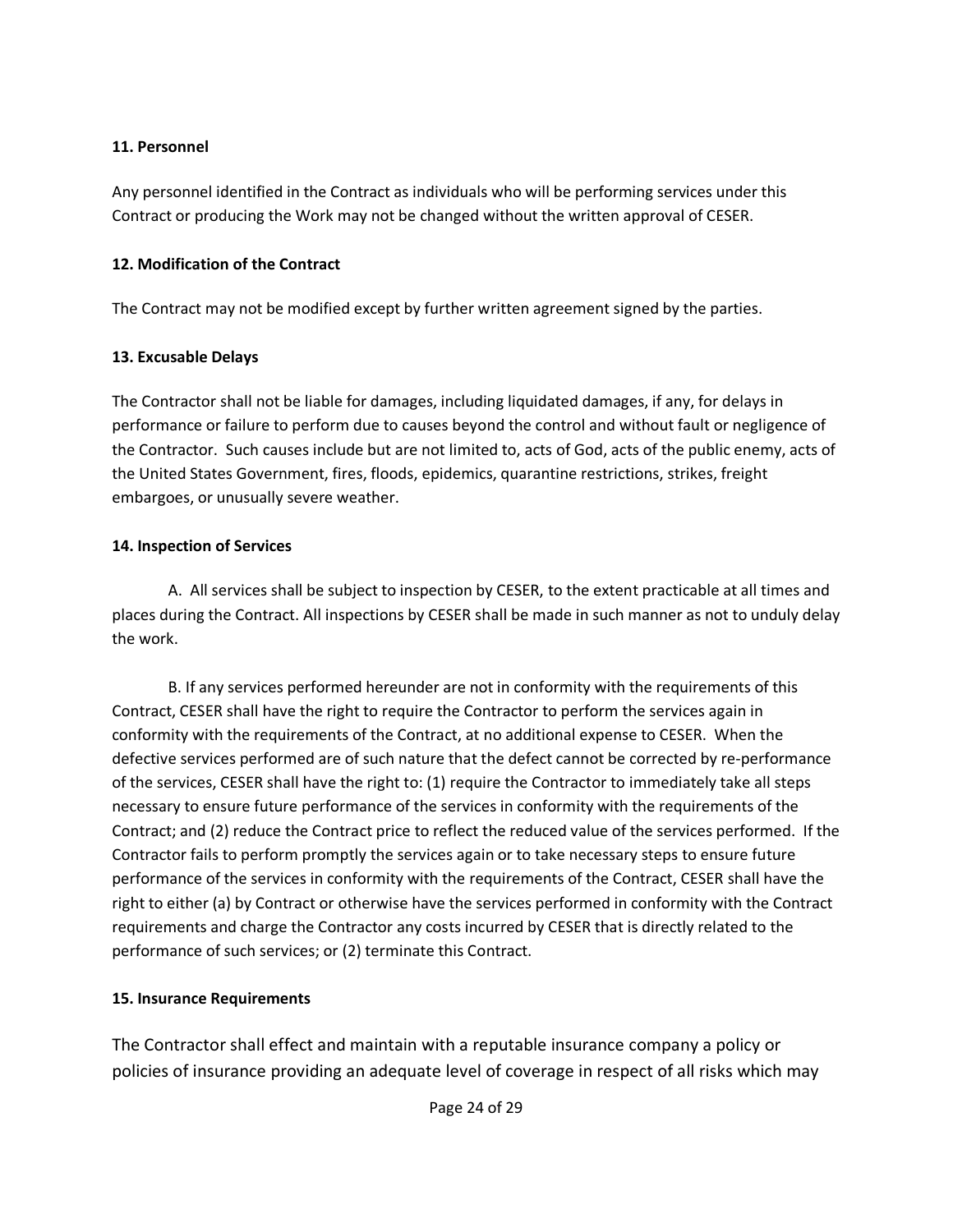#### **11. Personnel**

Any personnel identified in the Contract as individuals who will be performing services under this Contract or producing the Work may not be changed without the written approval of CESER.

#### **12. Modification of the Contract**

The Contract may not be modified except by further written agreement signed by the parties.

### **13. Excusable Delays**

The Contractor shall not be liable for damages, including liquidated damages, if any, for delays in performance or failure to perform due to causes beyond the control and without fault or negligence of the Contractor. Such causes include but are not limited to, acts of God, acts of the public enemy, acts of the United States Government, fires, floods, epidemics, quarantine restrictions, strikes, freight embargoes, or unusually severe weather.

### **14. Inspection of Services**

A. All services shall be subject to inspection by CESER, to the extent practicable at all times and places during the Contract. All inspections by CESER shall be made in such manner as not to unduly delay the work.

B. If any services performed hereunder are not in conformity with the requirements of this Contract, CESER shall have the right to require the Contractor to perform the services again in conformity with the requirements of the Contract, at no additional expense to CESER. When the defective services performed are of such nature that the defect cannot be corrected by re-performance of the services, CESER shall have the right to: (1) require the Contractor to immediately take all steps necessary to ensure future performance of the services in conformity with the requirements of the Contract; and (2) reduce the Contract price to reflect the reduced value of the services performed. If the Contractor fails to perform promptly the services again or to take necessary steps to ensure future performance of the services in conformity with the requirements of the Contract, CESER shall have the right to either (a) by Contract or otherwise have the services performed in conformity with the Contract requirements and charge the Contractor any costs incurred by CESER that is directly related to the performance of such services; or (2) terminate this Contract.

### **15. Insurance Requirements**

The Contractor shall effect and maintain with a reputable insurance company a policy or policies of insurance providing an adequate level of coverage in respect of all risks which may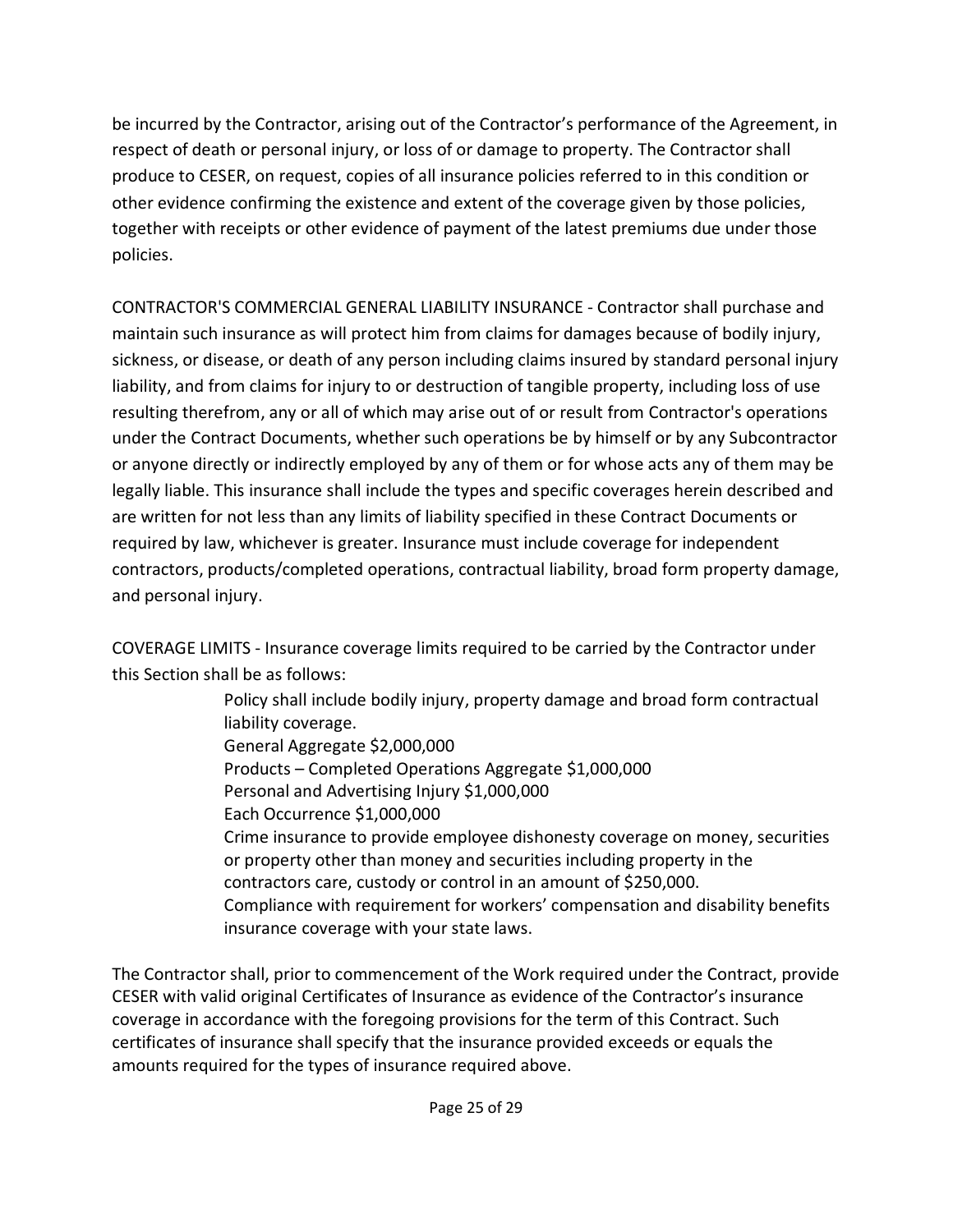be incurred by the Contractor, arising out of the Contractor's performance of the Agreement, in respect of death or personal injury, or loss of or damage to property. The Contractor shall produce to CESER, on request, copies of all insurance policies referred to in this condition or other evidence confirming the existence and extent of the coverage given by those policies, together with receipts or other evidence of payment of the latest premiums due under those policies.

CONTRACTOR'S COMMERCIAL GENERAL LIABILITY INSURANCE - Contractor shall purchase and maintain such insurance as will protect him from claims for damages because of bodily injury, sickness, or disease, or death of any person including claims insured by standard personal injury liability, and from claims for injury to or destruction of tangible property, including loss of use resulting therefrom, any or all of which may arise out of or result from Contractor's operations under the Contract Documents, whether such operations be by himself or by any Subcontractor or anyone directly or indirectly employed by any of them or for whose acts any of them may be legally liable. This insurance shall include the types and specific coverages herein described and are written for not less than any limits of liability specified in these Contract Documents or required by law, whichever is greater. Insurance must include coverage for independent contractors, products/completed operations, contractual liability, broad form property damage, and personal injury.

COVERAGE LIMITS - Insurance coverage limits required to be carried by the Contractor under this Section shall be as follows:

> Policy shall include bodily injury, property damage and broad form contractual liability coverage. General Aggregate \$2,000,000 Products – Completed Operations Aggregate \$1,000,000 Personal and Advertising Injury \$1,000,000 Each Occurrence \$1,000,000 Crime insurance to provide employee dishonesty coverage on money, securities or property other than money and securities including property in the contractors care, custody or control in an amount of \$250,000. Compliance with requirement for workers' compensation and disability benefits insurance coverage with your state laws.

The Contractor shall, prior to commencement of the Work required under the Contract, provide CESER with valid original Certificates of Insurance as evidence of the Contractor's insurance coverage in accordance with the foregoing provisions for the term of this Contract. Such certificates of insurance shall specify that the insurance provided exceeds or equals the amounts required for the types of insurance required above.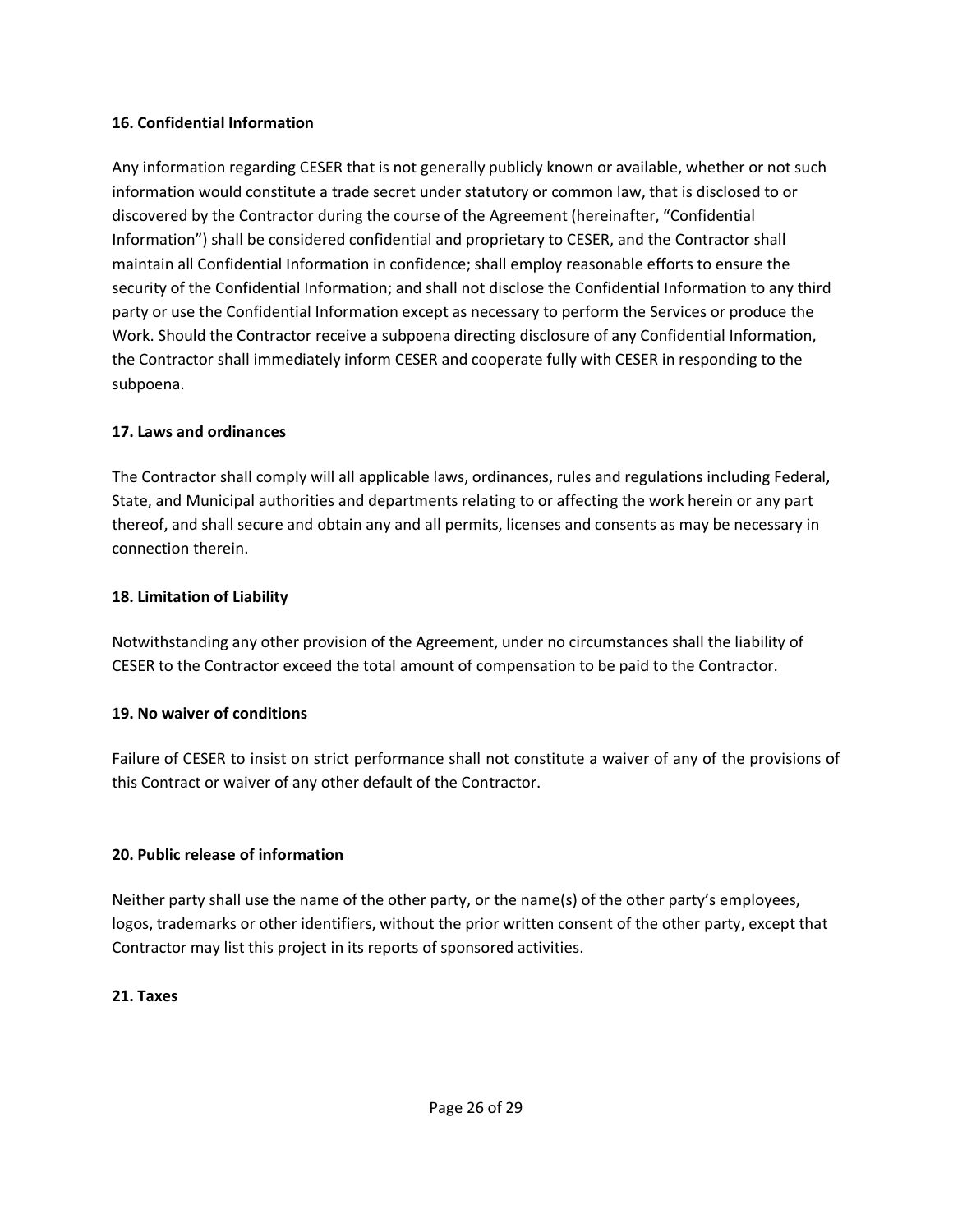#### **16. Confidential Information**

Any information regarding CESER that is not generally publicly known or available, whether or not such information would constitute a trade secret under statutory or common law, that is disclosed to or discovered by the Contractor during the course of the Agreement (hereinafter, "Confidential Information") shall be considered confidential and proprietary to CESER, and the Contractor shall maintain all Confidential Information in confidence; shall employ reasonable efforts to ensure the security of the Confidential Information; and shall not disclose the Confidential Information to any third party or use the Confidential Information except as necessary to perform the Services or produce the Work. Should the Contractor receive a subpoena directing disclosure of any Confidential Information, the Contractor shall immediately inform CESER and cooperate fully with CESER in responding to the subpoena.

#### **17. Laws and ordinances**

The Contractor shall comply will all applicable laws, ordinances, rules and regulations including Federal, State, and Municipal authorities and departments relating to or affecting the work herein or any part thereof, and shall secure and obtain any and all permits, licenses and consents as may be necessary in connection therein.

### **18. Limitation of Liability**

Notwithstanding any other provision of the Agreement, under no circumstances shall the liability of CESER to the Contractor exceed the total amount of compensation to be paid to the Contractor.

### **19. No waiver of conditions**

Failure of CESER to insist on strict performance shall not constitute a waiver of any of the provisions of this Contract or waiver of any other default of the Contractor.

### **20. Public release of information**

Neither party shall use the name of the other party, or the name(s) of the other party's employees, logos, trademarks or other identifiers, without the prior written consent of the other party, except that Contractor may list this project in its reports of sponsored activities.

#### **21. Taxes**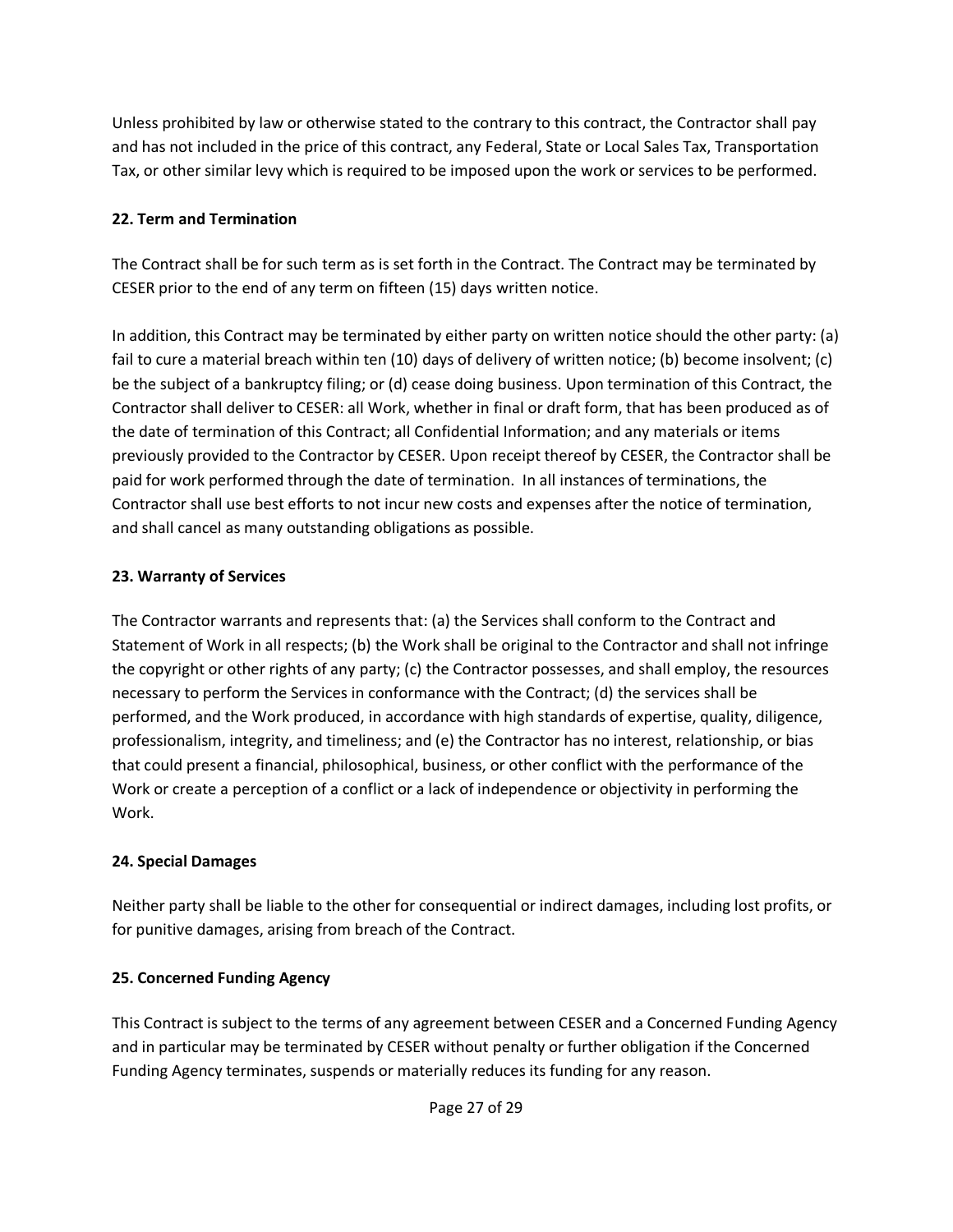Unless prohibited by law or otherwise stated to the contrary to this contract, the Contractor shall pay and has not included in the price of this contract, any Federal, State or Local Sales Tax, Transportation Tax, or other similar levy which is required to be imposed upon the work or services to be performed.

### **22. Term and Termination**

The Contract shall be for such term as is set forth in the Contract. The Contract may be terminated by CESER prior to the end of any term on fifteen (15) days written notice.

In addition, this Contract may be terminated by either party on written notice should the other party: (a) fail to cure a material breach within ten (10) days of delivery of written notice; (b) become insolvent; (c) be the subject of a bankruptcy filing; or (d) cease doing business. Upon termination of this Contract, the Contractor shall deliver to CESER: all Work, whether in final or draft form, that has been produced as of the date of termination of this Contract; all Confidential Information; and any materials or items previously provided to the Contractor by CESER. Upon receipt thereof by CESER, the Contractor shall be paid for work performed through the date of termination. In all instances of terminations, the Contractor shall use best efforts to not incur new costs and expenses after the notice of termination, and shall cancel as many outstanding obligations as possible.

### **23. Warranty of Services**

The Contractor warrants and represents that: (a) the Services shall conform to the Contract and Statement of Work in all respects; (b) the Work shall be original to the Contractor and shall not infringe the copyright or other rights of any party; (c) the Contractor possesses, and shall employ, the resources necessary to perform the Services in conformance with the Contract; (d) the services shall be performed, and the Work produced, in accordance with high standards of expertise, quality, diligence, professionalism, integrity, and timeliness; and (e) the Contractor has no interest, relationship, or bias that could present a financial, philosophical, business, or other conflict with the performance of the Work or create a perception of a conflict or a lack of independence or objectivity in performing the Work.

### **24. Special Damages**

Neither party shall be liable to the other for consequential or indirect damages, including lost profits, or for punitive damages, arising from breach of the Contract.

### **25. Concerned Funding Agency**

This Contract is subject to the terms of any agreement between CESER and a Concerned Funding Agency and in particular may be terminated by CESER without penalty or further obligation if the Concerned Funding Agency terminates, suspends or materially reduces its funding for any reason.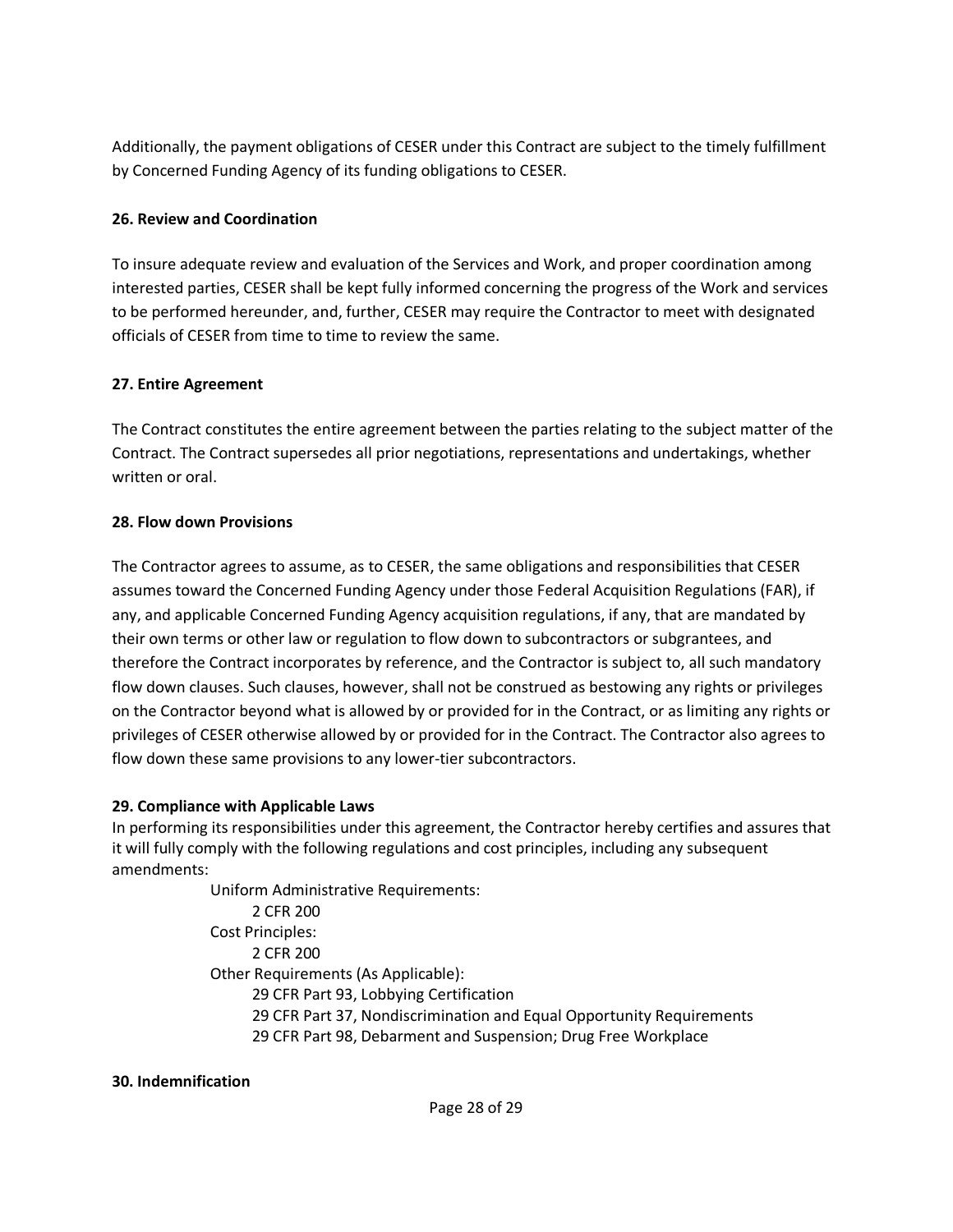Additionally, the payment obligations of CESER under this Contract are subject to the timely fulfillment by Concerned Funding Agency of its funding obligations to CESER.

#### **26. Review and Coordination**

To insure adequate review and evaluation of the Services and Work, and proper coordination among interested parties, CESER shall be kept fully informed concerning the progress of the Work and services to be performed hereunder, and, further, CESER may require the Contractor to meet with designated officials of CESER from time to time to review the same.

#### **27. Entire Agreement**

The Contract constitutes the entire agreement between the parties relating to the subject matter of the Contract. The Contract supersedes all prior negotiations, representations and undertakings, whether written or oral.

#### **28. Flow down Provisions**

The Contractor agrees to assume, as to CESER, the same obligations and responsibilities that CESER assumes toward the Concerned Funding Agency under those Federal Acquisition Regulations (FAR), if any, and applicable Concerned Funding Agency acquisition regulations, if any, that are mandated by their own terms or other law or regulation to flow down to subcontractors or subgrantees, and therefore the Contract incorporates by reference, and the Contractor is subject to, all such mandatory flow down clauses. Such clauses, however, shall not be construed as bestowing any rights or privileges on the Contractor beyond what is allowed by or provided for in the Contract, or as limiting any rights or privileges of CESER otherwise allowed by or provided for in the Contract. The Contractor also agrees to flow down these same provisions to any lower-tier subcontractors.

#### **29. Compliance with Applicable Laws**

In performing its responsibilities under this agreement, the Contractor hereby certifies and assures that it will fully comply with the following regulations and cost principles, including any subsequent amendments:

> Uniform Administrative Requirements: 2 CFR 200 Cost Principles: 2 CFR 200 Other Requirements (As Applicable): 29 CFR Part 93, Lobbying Certification 29 CFR Part 37, Nondiscrimination and Equal Opportunity Requirements 29 CFR Part 98, Debarment and Suspension; Drug Free Workplace

#### **30. Indemnification**